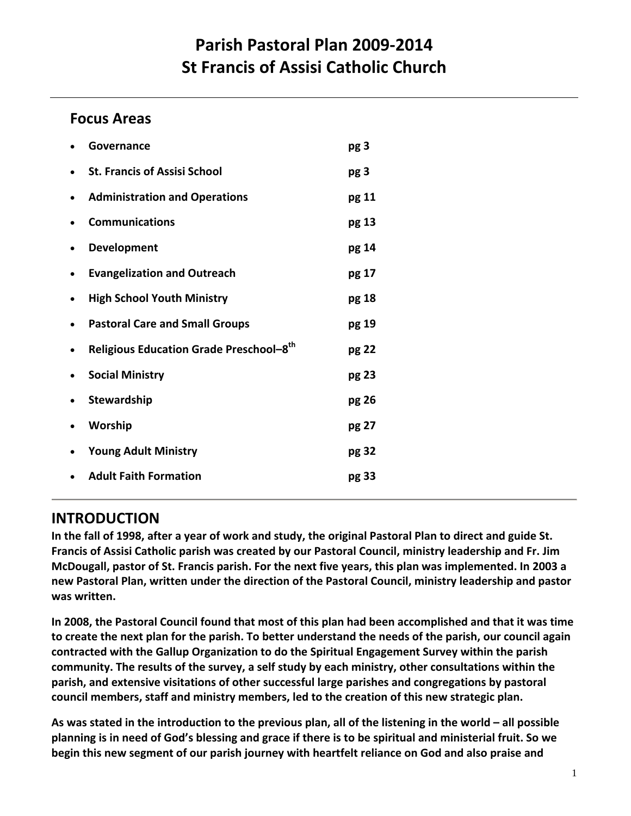# **Parish Pastoral Plan 2009‐2014 St Francis of Assisi Catholic Church**

# **Focus Areas**

| <b>St. Francis of Assisi School</b>     |       |  |
|-----------------------------------------|-------|--|
|                                         | pg 3  |  |
| <b>Administration and Operations</b>    | pg 11 |  |
| <b>Communications</b>                   | pg 13 |  |
| <b>Development</b>                      | pg 14 |  |
| <b>Evangelization and Outreach</b>      | pg 17 |  |
| <b>High School Youth Ministry</b>       | pg 18 |  |
| <b>Pastoral Care and Small Groups</b>   | pg 19 |  |
| Religious Education Grade Preschool-8th | pg 22 |  |
|                                         |       |  |
| <b>Social Ministry</b>                  | pg 23 |  |
|                                         | pg 26 |  |
|                                         | pg 27 |  |
| <b>Young Adult Ministry</b>             | pg 32 |  |
|                                         |       |  |

# **INTRODUCTION**

In the fall of 1998, after a year of work and study, the original Pastoral Plan to direct and guide St. **Francis of Assisi Catholic parish was created by our Pastoral Council, ministry leadership and Fr. Jim** McDougall, pastor of St. Francis parish. For the next five years, this plan was implemented. In 2003 a **new Pastoral Plan, written under the direction of the Pastoral Council, ministry leadership and pastor was written.**

In 2008, the Pastoral Council found that most of this plan had been accomplished and that it was time to create the next plan for the parish. To better understand the needs of the parish, our council again **contracted with the Gallup Organization to do the Spiritual Engagement Survey within the parish community. The results of the survey, a self study by each ministry, other consultations within the parish, and extensive visitations of other successful large parishes and congregations by pastoral council members, staff and ministry members, led to the creation of this new strategic plan.**

As was stated in the introduction to the previous plan, all of the listening in the world  $-$  all possible planning is in need of God's blessing and grace if there is to be spiritual and ministerial fruit. So we **begin this new segment of our parish journey with heartfelt reliance on God and also praise and**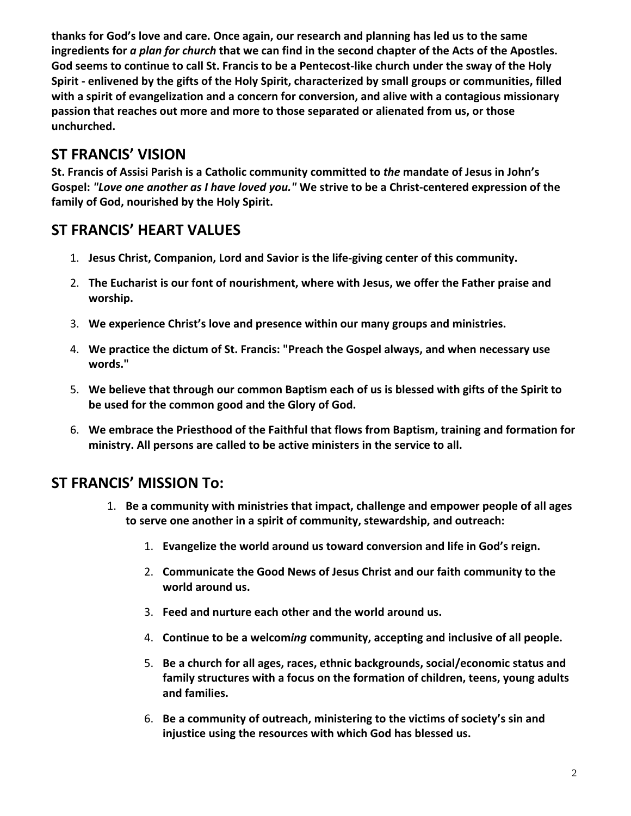**thanks for God's love and care. Once again, our research and planning has led us to the same** ingredients for a plan for church that we can find in the second chapter of the Acts of the Apostles. God seems to continue to call St. Francis to be a Pentecost-like church under the sway of the Holy **Spirit ‐ enlivened by the gifts of the Holy Spirit, characterized by small groups or communities, filled with a spirit of evangelization and a concern for conversion, and alive with a contagious missionary passion that reaches out more and more to those separated or alienated from us, or those unchurched.**

# **ST FRANCIS' VISION**

**St. Francis of Assisi Parish is a Catholic community committed to** *the* **mandate of Jesus in John's** Gospel: "Love one another as I have loved you." We strive to be a Christ-centered expression of the **family of God, nourished by the Holy Spirit.**

# **ST FRANCIS' HEART VALUES**

- 1. **Jesus Christ, Companion, Lord and Savior is the life‐giving center of this community.**
- 2. **The Eucharist is our font of nourishment, where with Jesus, we offer the Father praise and worship.**
- 3. **We experience Christ's love and presence within our many groups and ministries.**
- 4. **We practice the dictum of St. Francis: "Preach the Gospel always, and when necessary use words."**
- 5. **We believe that through our common Baptism each of us is blessed with gifts of the Spirit to be used for the common good and the Glory of God.**
- 6. **We embrace the Priesthood of the Faithful that flows from Baptism, training and formation for ministry. All persons are called to be active ministers in the service to all.**

## **ST FRANCIS' MISSION To:**

- 1. **Be a community with ministries that impact, challenge and empower people of all ages to serve one another in a spirit of community, stewardship, and outreach:**
	- 1. **Evangelize the world around us toward conversion and life in God's reign.**
	- 2. **Communicate the Good News of Jesus Christ and our faith community to the world around us.**
	- 3. **Feed and nurture each other and the world around us.**
	- 4. **Continue to be a welcom***ing* **community, accepting and inclusive of all people.**
	- 5. **Be a church for all ages, races, ethnic backgrounds, social/economic status and family structures with a focus on the formation of children, teens, young adults and families.**
	- 6. **Be a community of outreach, ministering to the victims of society's sin and injustice using the resources with which God has blessed us.**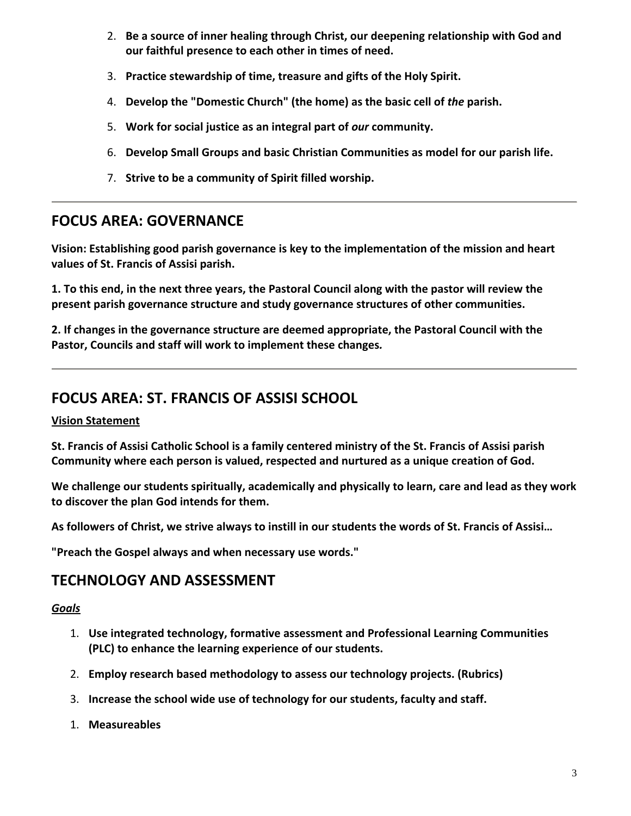- 2. **Be a source of inner healing through Christ, our deepening relationship with God and our faithful presence to each other in times of need.**
- 3. **Practice stewardship of time, treasure and gifts of the Holy Spirit.**
- 4. **Develop the "Domestic Church" (the home) as the basic cell of** *the* **parish.**
- 5. **Work for social justice as an integral part of** *our* **community.**
- 6. **Develop Small Groups and basic Christian Communities as model for our parish life.**
- 7. **Strive to be a community of Spirit filled worship.**

## **FOCUS AREA: GOVERNANCE**

**Vision: Establishing good parish governance is key to the implementation of the mission and heart values of St. Francis of Assisi parish.**

1. To this end, in the next three years, the Pastoral Council along with the pastor will review the **present parish governance structure and study governance structures of other communities.**

**2. If changes in the governance structure are deemed appropriate, the Pastoral Council with the Pastor, Councils and staff will work to implement these changes***.*

## **FOCUS AREA: ST. FRANCIS OF ASSISI SCHOOL**

## **Vision Statement**

St. Francis of Assisi Catholic School is a family centered ministry of the St. Francis of Assisi parish **Community where each person is valued, respected and nurtured as a unique creation of God.**

**We challenge our students spiritually, academically and physically to learn, care and lead as they work to discover the plan God intends for them.**

As followers of Christ, we strive always to instill in our students the words of St. Francis of Assisi...

**"Preach the Gospel always and when necessary use words."**

## **TECHNOLOGY AND ASSESSMENT**

- 1. **Use integrated technology, formative assessment and Professional Learning Communities (PLC) to enhance the learning experience of our students.**
- 2. **Employ research based methodology to assess our technology projects. (Rubrics)**
- 3. **Increase the school wide use of technology for our students, faculty and staff.**
- 1. **Measureables**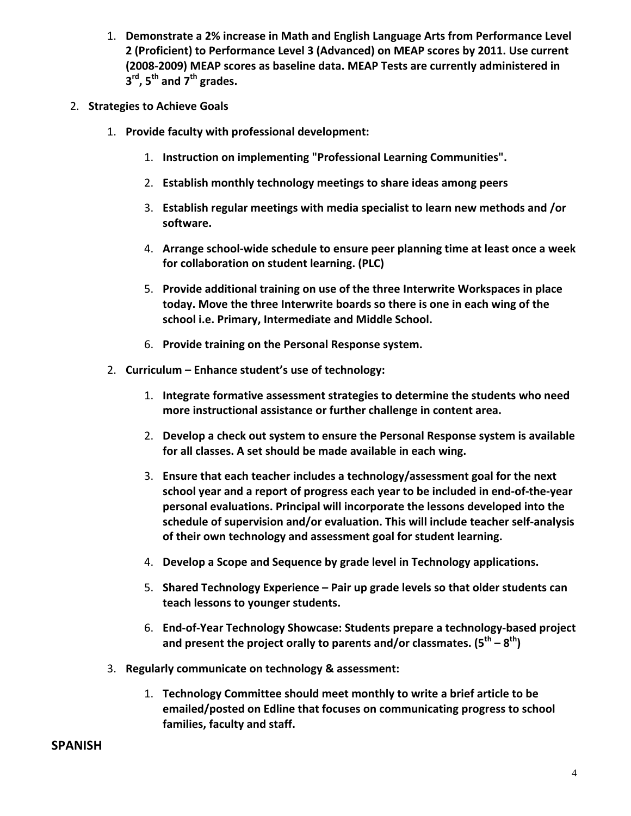- 1. **Demonstrate a 2% increase in Math and English Language Arts from Performance Level 2 (Proficient) to Performance Level 3 (Advanced) on MEAP scores by 2011. Use current (2008‐2009) MEAP scores as baseline data. MEAP Tests are currently administered in 3rd, 5th and 7th grades.**
- 2. **Strategies to Achieve Goals**
	- 1. **Provide faculty with professional development:**
		- 1. **Instruction on implementing "Professional Learning Communities".**
		- 2. **Establish monthly technology meetings to share ideas among peers**
		- 3. **Establish regular meetings with media specialist to learn new methods and /or software.**
		- 4. **Arrange school‐wide schedule to ensure peer planning time at least once a week for collaboration on student learning. (PLC)**
		- 5. **Provide additional training on use of the three Interwrite Workspaces in place today. Move the three Interwrite boards so there is one in each wing of the school i.e. Primary, Intermediate and Middle School.**
		- 6. **Provide training on the Personal Response system.**
	- 2. **Curriculum – Enhance student's use of technology:**
		- 1. **Integrate formative assessment strategies to determine the students who need more instructional assistance or further challenge in content area.**
		- 2. **Develop a check out system to ensure the Personal Response system is available for all classes. A set should be made available in each wing.**
		- 3. **Ensure that each teacher includes a technology/assessment goal for the next school year and a report of progress each year to be included in end‐of‐the‐year personal evaluations. Principal will incorporate the lessons developed into the schedule of supervision and/or evaluation. This will include teacher self‐analysis of their own technology and assessment goal for student learning.**
		- 4. **Develop a Scope and Sequence by grade level in Technology applications.**
		- 5. **Shared Technology Experience – Pair up grade levels so that older students can teach lessons to younger students.**
		- 6. **End‐of‐Year Technology Showcase: Students prepare a technology‐based project and present the project orally to parents and/or classmates. (5th – 8th)**
	- 3. **Regularly communicate on technology & assessment:**
		- 1. **Technology Committee should meet monthly to write a brief article to be emailed/posted on Edline that focuses on communicating progress to school families, faculty and staff.**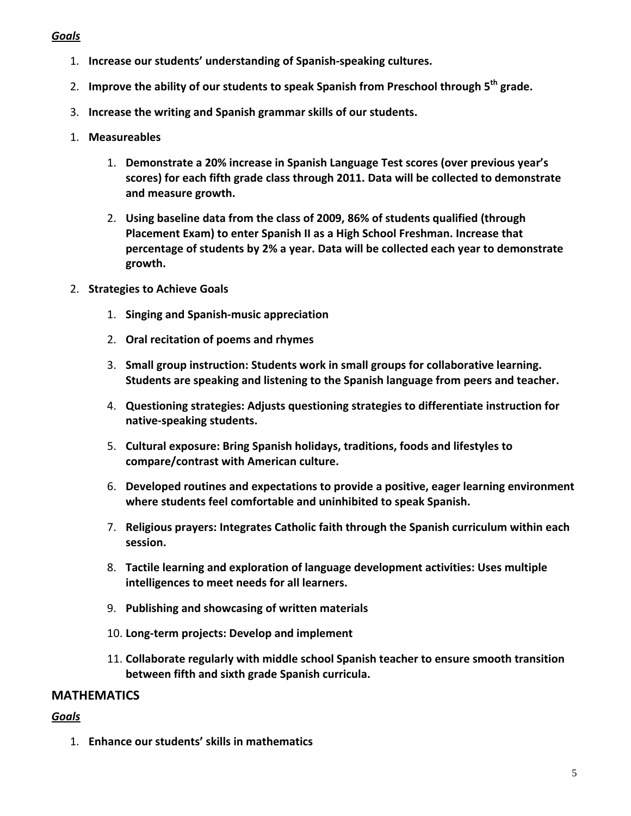#### *Goals*

- 1. **Increase our students' understanding of Spanish‐speaking cultures.**
- 2. **Improve the ability of our students to speak Spanish from Preschool through 5th grade.**
- 3. **Increase the writing and Spanish grammar skills of our students.**
- 1. **Measureables**
	- 1. **Demonstrate a 20% increase in Spanish Language Test scores (over previous year's scores) for each fifth grade class through 2011. Data will be collected to demonstrate and measure growth.**
	- 2. **Using baseline data from the class of 2009, 86% of students qualified (through Placement Exam) to enter Spanish II as a High School Freshman. Increase that percentage of students by 2% a year. Data will be collected each year to demonstrate growth.**
- 2. **Strategies to Achieve Goals**
	- 1. **Singing and Spanish‐music appreciation**
	- 2. **Oral recitation of poems and rhymes**
	- 3. **Small group instruction: Students work in small groups for collaborative learning. Students are speaking and listening to the Spanish language from peers and teacher.**
	- 4. **Questioning strategies: Adjusts questioning strategies to differentiate instruction for native‐speaking students.**
	- 5. **Cultural exposure: Bring Spanish holidays, traditions, foods and lifestyles to compare/contrast with American culture.**
	- 6. **Developed routines and expectations to provide a positive, eager learning environment where students feel comfortable and uninhibited to speak Spanish.**
	- 7. **Religious prayers: Integrates Catholic faith through the Spanish curriculum within each session.**
	- 8. **Tactile learning and exploration of language development activities: Uses multiple intelligences to meet needs for all learners.**
	- 9. **Publishing and showcasing of written materials**
	- 10. **Long‐term projects: Develop and implement**
	- 11. **Collaborate regularly with middle school Spanish teacher to ensure smooth transition between fifth and sixth grade Spanish curricula.**

## **MATHEMATICS**

## *Goals*

1. **Enhance our students' skills in mathematics**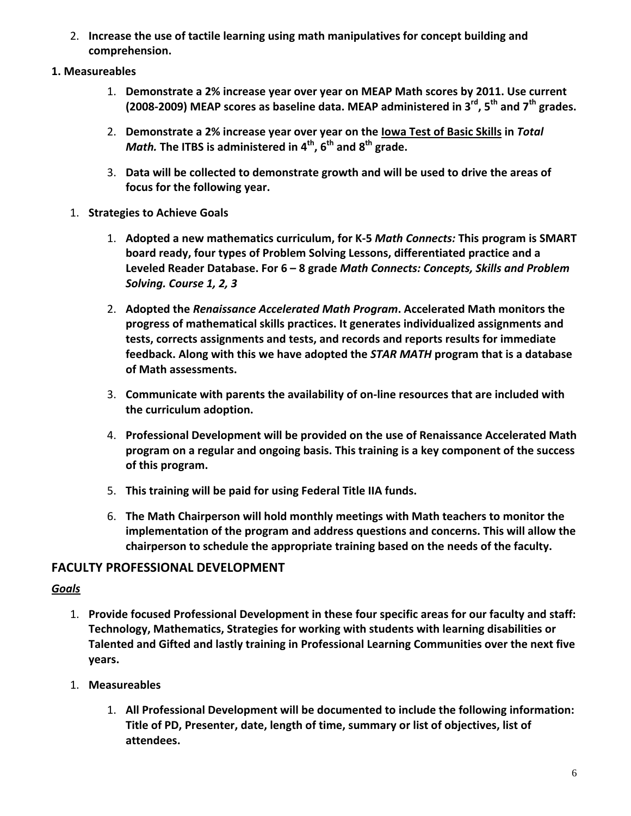- 2. **Increase the use of tactile learning using math manipulatives for concept building and comprehension.**
- **1. Measureables**
	- 1. **Demonstrate a 2% increase year over year on MEAP Math scores by 2011. Use current (2008‐2009) MEAP scores as baseline data. MEAP administered in 3rd, 5th and 7th grades.**
	- 2. **Demonstrate a 2% increase year over year on the Iowa Test of Basic Skills in** *Total Math.* **The ITBS is administered in 4th, 6th and 8th grade.**
	- 3. **Data will be collected to demonstrate growth and will be used to drive the areas of focus for the following year.**
	- 1. **Strategies to Achieve Goals**
		- 1. **Adopted a new mathematics curriculum, for K‐5** *Math Connects:* **This program is SMART board ready, four types of Problem Solving Lessons, differentiated practice and a Leveled Reader Database. For 6 – 8 grade** *Math Connects: Concepts, Skills and Problem Solving. Course 1, 2, 3*
		- 2. **Adopted the** *Renaissance Accelerated Math Program***. Accelerated Math monitors the progress of mathematical skills practices. It generates individualized assignments and tests, corrects assignments and tests, and records and reports results for immediate feedback. Along with this we have adopted the** *STAR MATH* **program that is a database of Math assessments.**
		- 3. **Communicate with parents the availability of on‐line resources that are included with the curriculum adoption.**
		- 4. **Professional Development will be provided on the use of Renaissance Accelerated Math program on a regular and ongoing basis. This training is a key component of the success of this program.**
		- 5. **This training will be paid for using Federal Title IIA funds.**
		- 6. **The Math Chairperson will hold monthly meetings with Math teachers to monitor the implementation of the program and address questions and concerns. This will allow the chairperson to schedule the appropriate training based on the needs of the faculty.**

## **FACULTY PROFESSIONAL DEVELOPMENT**

- 1. **Provide focused Professional Development in these four specific areas for our faculty and staff: Technology, Mathematics, Strategies for working with students with learning disabilities or Talented and Gifted and lastly training in Professional Learning Communities over the next five years.**
- 1. **Measureables**
	- 1. **All Professional Development will be documented to include the following information: Title of PD, Presenter, date, length of time, summary or list of objectives, list of attendees.**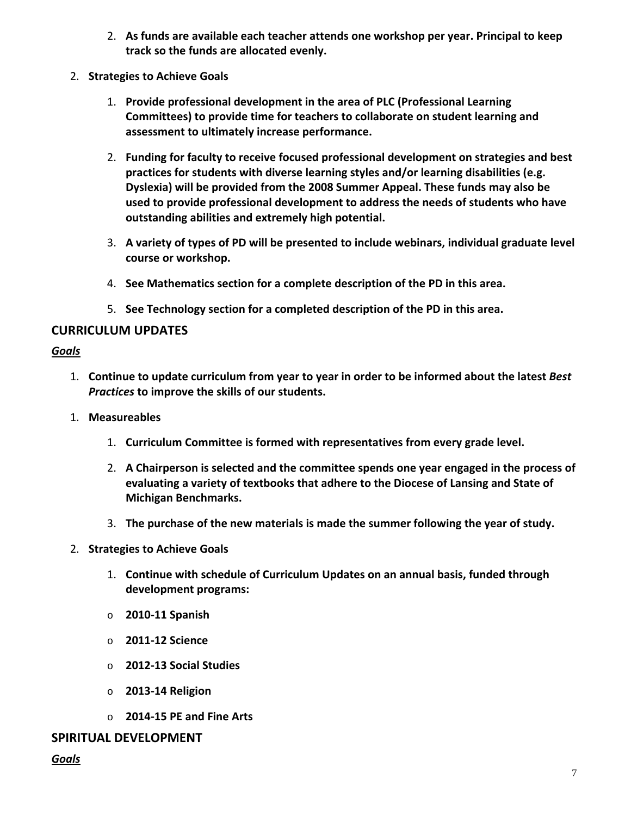- 2. **As funds are available each teacher attends one workshop per year. Principal to keep track so the funds are allocated evenly.**
- 2. **Strategies to Achieve Goals**
	- 1. **Provide professional development in the area of PLC (Professional Learning Committees) to provide time for teachers to collaborate on student learning and assessment to ultimately increase performance.**
	- 2. **Funding for faculty to receive focused professional development on strategies and best practices for students with diverse learning styles and/or learning disabilities (e.g. Dyslexia) will be provided from the 2008 Summer Appeal. These funds may also be used to provide professional development to address the needs of students who have outstanding abilities and extremely high potential.**
	- 3. **A variety of types of PD will be presented to include webinars, individual graduate level course or workshop.**
	- 4. **See Mathematics section for a complete description of the PD in this area.**
	- 5. **See Technology section for a completed description of the PD in this area.**

## **CURRICULUM UPDATES**

#### *Goals*

- 1. **Continue to update curriculum from year to year in order to be informed about the latest** *Best Practices* **to improve the skills of our students.**
- 1. **Measureables**
	- 1. **Curriculum Committee is formed with representatives from every grade level.**
	- 2. **A Chairperson is selected and the committee spends one year engaged in the process of evaluating a variety of textbooks that adhere to the Diocese of Lansing and State of Michigan Benchmarks.**
	- 3. **The purchase of the new materials is made the summer following the year of study.**
- 2. **Strategies to Achieve Goals**
	- 1. **Continue with schedule of Curriculum Updates on an annual basis, funded through development programs:**
	- o **2010‐11 Spanish**
	- o **2011‐12 Science**
	- o **2012‐13 Social Studies**
	- o **2013‐14 Religion**
	- o **2014‐15 PE and Fine Arts**

#### **SPIRITUAL DEVELOPMENT**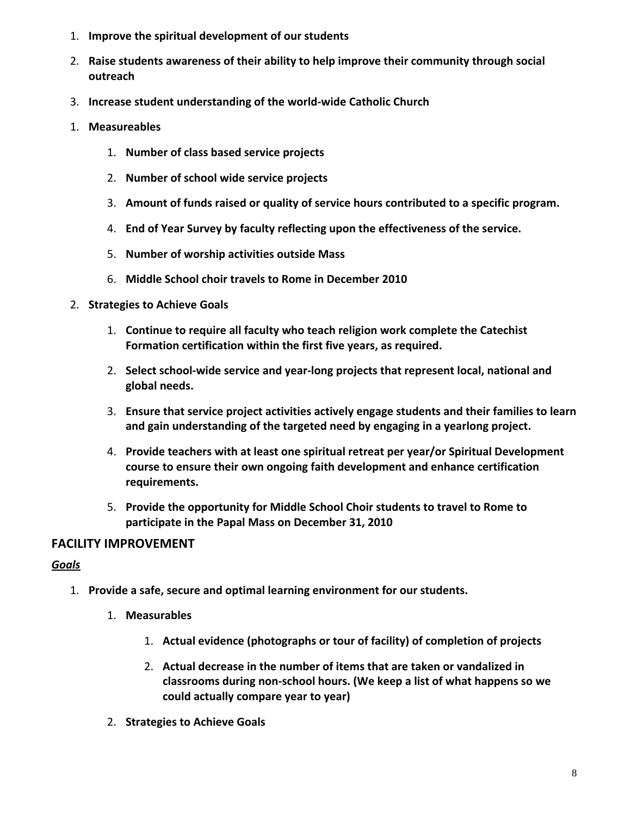- 1. **Improve the spiritual development of our students**
- 2. **Raise students awareness of their ability to help improve their community through social outreach**
- 3. **Increase student understanding of the world‐wide Catholic Church**
- 1. **Measureables**
	- 1. **Number of class based service projects**
	- 2. **Number of school wide service projects**
	- 3. **Amount of funds raised or quality of service hours contributed to a specific program.**
	- 4. **End of Year Survey by faculty reflecting upon the effectiveness of the service.**
	- 5. **Number of worship activities outside Mass**
	- 6. **Middle School choir travels to Rome in December 2010**
- 2. **Strategies to Achieve Goals**
	- 1. **Continue to require all faculty who teach religion work complete the Catechist Formation certification within the first five years, as required.**
	- 2. **Select school‐wide service and year‐long projects that represent local, national and global needs.**
	- 3. **Ensure that service project activities actively engage students and their families to learn and gain understanding of the targeted need by engaging in a yearlong project.**
	- 4. **Provide teachers with at least one spiritual retreat per year/or Spiritual Development course to ensure their own ongoing faith development and enhance certification requirements.**
	- 5. **Provide the opportunity for Middle School Choir students to travel to Rome to participate in the Papal Mass on December 31, 2010**

## **FACILITY IMPROVEMENT**

- 1. **Provide a safe, secure and optimal learning environment for our students.**
	- 1. **Measurables**
		- 1. **Actual evidence (photographs or tour of facility) of completion of projects**
		- 2. **Actual decrease in the number of items that are taken or vandalized in classrooms during non‐school hours. (We keep a list of what happens so we could actually compare year to year)**
	- 2. **Strategies to Achieve Goals**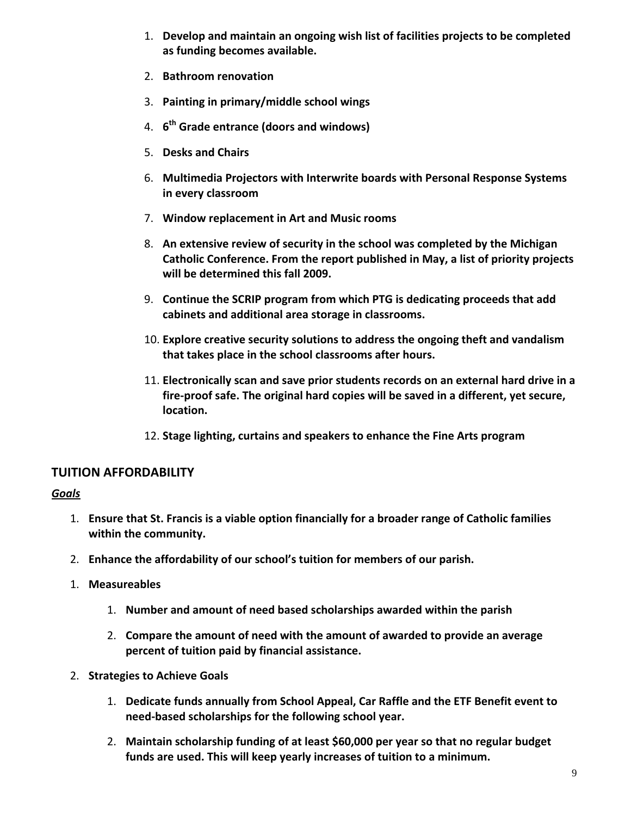- 1. **Develop and maintain an ongoing wish list of facilities projects to be completed as funding becomes available.**
- 2. **Bathroom renovation**
- 3. **Painting in primary/middle school wings**
- 4. **6th Grade entrance (doors and windows)**
- 5. **Desks and Chairs**
- 6. **Multimedia Projectors with Interwrite boards with Personal Response Systems in every classroom**
- 7. **Window replacement in Art and Music rooms**
- 8. **An extensive review of security in the school was completed by the Michigan Catholic Conference. From the report published in May, a list of priority projects will be determined this fall 2009.**
- 9. **Continue the SCRIP program from which PTG is dedicating proceeds that add cabinets and additional area storage in classrooms.**
- 10. **Explore creative security solutions to address the ongoing theft and vandalism that takes place in the school classrooms after hours.**
- 11. **Electronically scan and save prior students records on an external hard drive in a fire‐proof safe. The original hard copies will be saved in a different, yet secure, location.**
- 12. **Stage lighting, curtains and speakers to enhance the Fine Arts program**

## **TUITION AFFORDABILITY**

- 1. **Ensure that St. Francis is a viable option financially for a broader range of Catholic families within the community.**
- 2. **Enhance the affordability of our school's tuition for members of our parish.**
- 1. **Measureables**
	- 1. **Number and amount of need based scholarships awarded within the parish**
	- 2. **Compare the amount of need with the amount of awarded to provide an average percent of tuition paid by financial assistance.**
- 2. **Strategies to Achieve Goals**
	- 1. **Dedicate funds annually from School Appeal, Car Raffle and the ETF Benefit event to need‐based scholarships for the following school year.**
	- 2. **Maintain scholarship funding of at least \$60,000 per year so that no regular budget funds are used. This will keep yearly increases of tuition to a minimum.**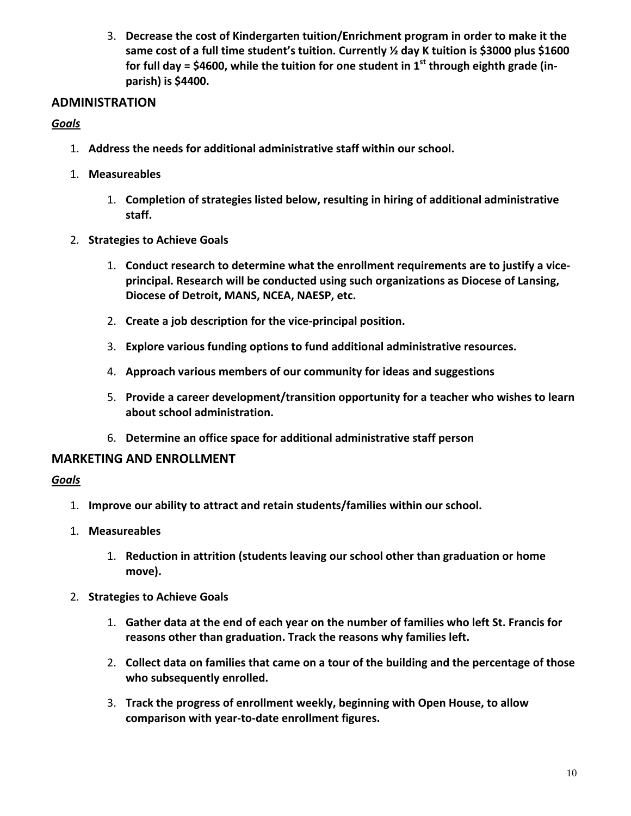3. **Decrease the cost of Kindergarten tuition/Enrichment program in order to make it the same cost of a full time student's tuition. Currently ½ day K tuition is \$3000 plus \$1600 for full day = \$4600, while the tuition for one student in 1st through eighth grade (in‐ parish) is \$4400.**

## **ADMINISTRATION**

## *Goals*

- 1. **Address the needs for additional administrative staff within our school.**
- 1. **Measureables**
	- 1. **Completion of strategies listed below, resulting in hiring of additional administrative staff.**
- 2. **Strategies to Achieve Goals**
	- 1. **Conduct research to determine what the enrollment requirements are to justify a vice‐ principal. Research will be conducted using such organizations as Diocese of Lansing, Diocese of Detroit, MANS, NCEA, NAESP, etc.**
	- 2. **Create a job description for the vice‐principal position.**
	- 3. **Explore various funding options to fund additional administrative resources.**
	- 4. **Approach various members of our community for ideas and suggestions**
	- 5. **Provide a career development/transition opportunity for a teacher who wishes to learn about school administration.**
	- 6. **Determine an office space for additional administrative staff person**

## **MARKETING AND ENROLLMENT**

- 1. **Improve our ability to attract and retain students/families within our school.**
- 1. **Measureables**
	- 1. **Reduction in attrition (students leaving our school other than graduation or home move).**
- 2. **Strategies to Achieve Goals**
	- 1. **Gather data at the end of each year on the number of families who left St. Francis for reasons other than graduation. Track the reasons why families left.**
	- 2. **Collect data on families that came on a tour of the building and the percentage of those who subsequently enrolled.**
	- 3. **Track the progress of enrollment weekly, beginning with Open House, to allow comparison with year‐to‐date enrollment figures.**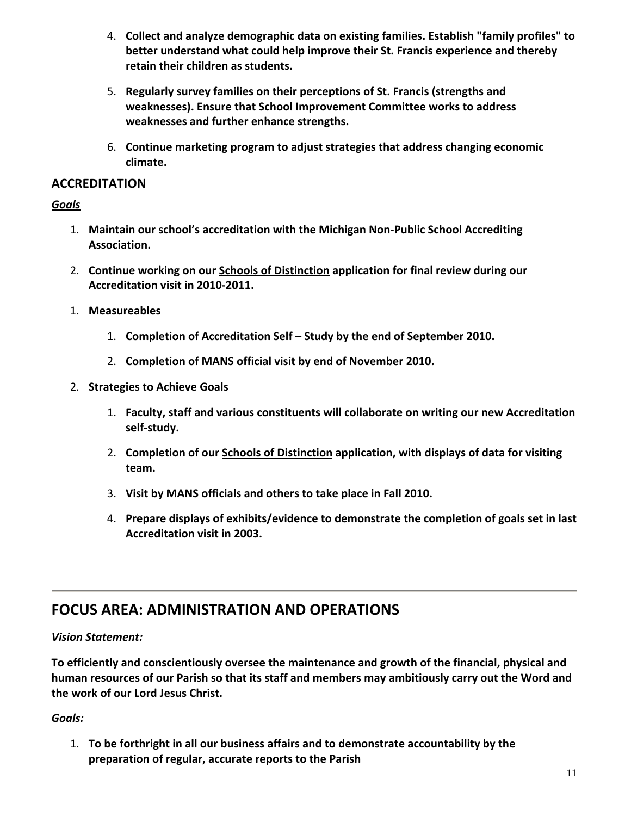- 4. **Collect and analyze demographic data on existing families. Establish "family profiles" to better understand what could help improve their St. Francis experience and thereby retain their children as students.**
- 5. **Regularly survey families on their perceptions of St. Francis (strengths and weaknesses). Ensure that School Improvement Committee works to address weaknesses and further enhance strengths.**
- 6. **Continue marketing program to adjust strategies that address changing economic climate.**

## **ACCREDITATION**

## *Goals*

- 1. **Maintain our school's accreditation with the Michigan Non‐Public School Accrediting Association.**
- 2. **Continue working on our Schools of Distinction application for final review during our Accreditation visit in 2010‐2011.**
- 1. **Measureables**
	- 1. **Completion of Accreditation Self – Study by the end of September 2010.**
	- 2. **Completion of MANS official visit by end of November 2010.**
- 2. **Strategies to Achieve Goals**
	- 1. **Faculty, staff and various constituents will collaborate on writing our new Accreditation self‐study.**
	- 2. **Completion of our Schools of Distinction application, with displays of data for visiting team.**
	- 3. **Visit by MANS officials and others to take place in Fall 2010.**
	- 4. **Prepare displays of exhibits/evidence to demonstrate the completion of goals set in last Accreditation visit in 2003.**

# **FOCUS AREA: ADMINISTRATION AND OPERATIONS**

## *Vision Statement:*

**To efficiently and conscientiously oversee the maintenance and growth of the financial, physical and human resources of our Parish so that its staff and members may ambitiously carry out the Word and the work of our Lord Jesus Christ.**

## *Goals:*

1. **To be forthright in all our business affairs and to demonstrate accountability by the preparation of regular, accurate reports to the Parish**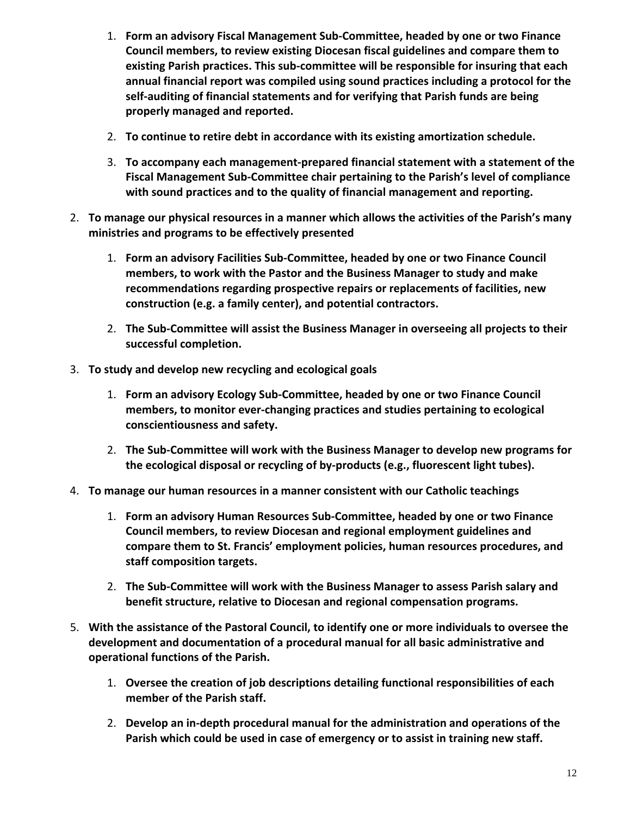- 1. **Form an advisory Fiscal Management Sub‐Committee, headed by one or two Finance Council members, to review existing Diocesan fiscal guidelines and compare them to existing Parish practices. This sub‐committee will be responsible for insuring that each annual financial report was compiled using sound practices including a protocol for the self‐auditing of financial statements and for verifying that Parish funds are being properly managed and reported.**
- 2. **To continue to retire debt in accordance with its existing amortization schedule.**
- 3. **To accompany each management‐prepared financial statement with a statement of the Fiscal Management Sub‐Committee chair pertaining to the Parish's level of compliance with sound practices and to the quality of financial management and reporting.**
- 2. **To manage our physical resources in a manner which allows the activities of the Parish's many ministries and programs to be effectively presented**
	- 1. **Form an advisory Facilities Sub‐Committee, headed by one or two Finance Council members, to work with the Pastor and the Business Manager to study and make recommendations regarding prospective repairs or replacements of facilities, new construction (e.g. a family center), and potential contractors.**
	- 2. **The Sub‐Committee will assist the Business Manager in overseeing all projects to their successful completion.**
- 3. **To study and develop new recycling and ecological goals**
	- 1. **Form an advisory Ecology Sub‐Committee, headed by one or two Finance Council members, to monitor ever‐changing practices and studies pertaining to ecological conscientiousness and safety.**
	- 2. **The Sub‐Committee will work with the Business Manager to develop new programs for the ecological disposal or recycling of by‐products (e.g., fluorescent light tubes).**
- 4. **To manage our human resources in a manner consistent with our Catholic teachings**
	- 1. **Form an advisory Human Resources Sub‐Committee, headed by one or two Finance Council members, to review Diocesan and regional employment guidelines and compare them to St. Francis' employment policies, human resources procedures, and staff composition targets.**
	- 2. **The Sub‐Committee will work with the Business Manager to assess Parish salary and benefit structure, relative to Diocesan and regional compensation programs.**
- 5. **With the assistance of the Pastoral Council, to identify one or more individuals to oversee the development and documentation of a procedural manual for all basic administrative and operational functions of the Parish.**
	- 1. **Oversee the creation of job descriptions detailing functional responsibilities of each member of the Parish staff.**
	- 2. **Develop an in‐depth procedural manual for the administration and operations of the Parish which could be used in case of emergency or to assist in training new staff.**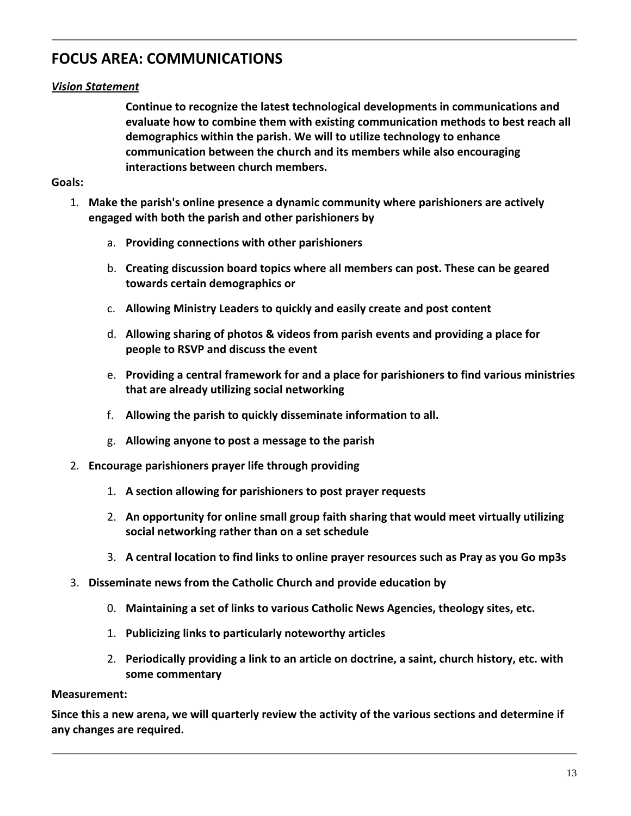# **FOCUS AREA: COMMUNICATIONS**

## *Vision Statement*

**Continue to recognize the latest technological developments in communications and evaluate how to combine them with existing communication methods to best reach all demographics within the parish. We will to utilize technology to enhance communication between the church and its members while also encouraging interactions between church members.**

#### **Goals:**

- 1. **Make the parish's online presence a dynamic community where parishioners are actively engaged with both the parish and other parishioners by**
	- a. **Providing connections with other parishioners**
	- b. **Creating discussion board topics where all members can post. These can be geared towards certain demographics or**
	- c. **Allowing Ministry Leaders to quickly and easily create and post content**
	- d. **Allowing sharing of photos & videos from parish events and providing a place for people to RSVP and discuss the event**
	- e. **Providing a central framework for and a place for parishioners to find various ministries that are already utilizing social networking**
	- f. **Allowing the parish to quickly disseminate information to all.**
	- g. **Allowing anyone to post a message to the parish**
- 2. **Encourage parishioners prayer life through providing**
	- 1. **A section allowing for parishioners to post prayer requests**
	- 2. **An opportunity for online small group faith sharing that would meet virtually utilizing social networking rather than on a set schedule**
	- 3. **A central location to find links to online prayer resources such as Pray as you Go mp3s**
- 3. **Disseminate news from the Catholic Church and provide education by**
	- 0. **Maintaining a set of links to various Catholic News Agencies, theology sites, etc.**
	- 1. **Publicizing links to particularly noteworthy articles**
	- 2. **Periodically providing a link to an article on doctrine, a saint, church history, etc. with some commentary**

#### **Measurement:**

Since this a new arena, we will quarterly review the activity of the various sections and determine if **any changes are required.**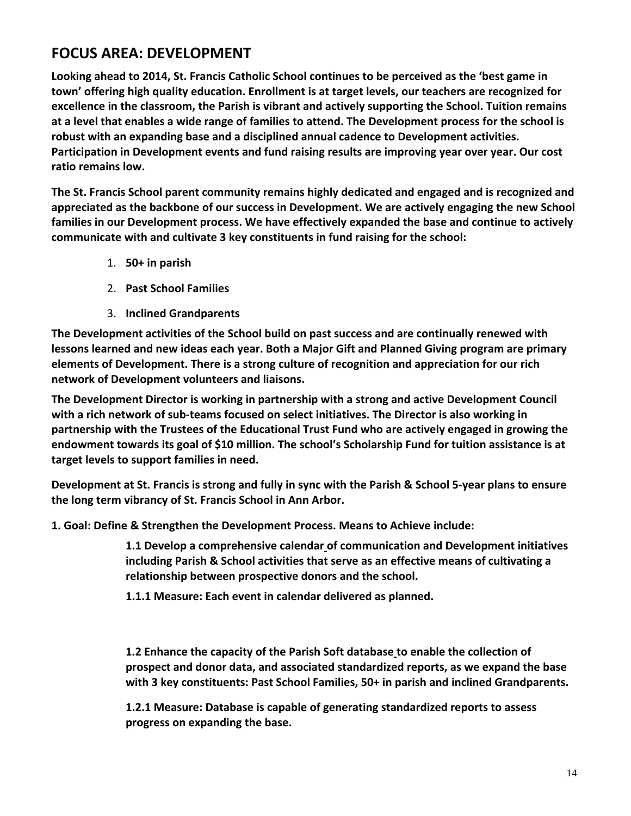## **FOCUS AREA: DEVELOPMENT**

**Looking ahead to 2014, St. Francis Catholic School continues to be perceived as the 'best game in town' offering high quality education. Enrollment is at target levels, our teachers are recognized for excellence in the classroom, the Parish is vibrant and actively supporting the School. Tuition remains** at a level that enables a wide range of families to attend. The Development process for the school is **robust with an expanding base and a disciplined annual cadence to Development activities. Participation in Development events and fund raising results are improving year over year. Our cost ratio remains low.**

**The St. Francis School parent community remains highly dedicated and engaged and is recognized and appreciated as the backbone of our success in Development. We are actively engaging the new School families in our Development process. We have effectively expanded the base and continue to actively communicate with and cultivate 3 key constituents in fund raising for the school:**

- 1. **50+ in parish**
- 2. **Past School Families**
- 3. **Inclined Grandparents**

**The Development activities of the School build on past success and are continually renewed with lessons learned and new ideas each year. Both a Major Gift and Planned Giving program are primary elements of Development. There is a strong culture of recognition and appreciation for our rich network of Development volunteers and liaisons.**

**The Development Director is working in partnership with a strong and active Development Council with a rich network of sub‐teams focused on select initiatives. The Director is also working in partnership with the Trustees of the Educational Trust Fund who are actively engaged in growing the endowment towards its goal of \$10 million. The school's Scholarship Fund for tuition assistance is at target levels to support families in need.**

Development at St. Francis is strong and fully in sync with the Parish & School 5-year plans to ensure **the long term vibrancy of St. Francis School in Ann Arbor.**

**1. Goal: Define & Strengthen the Development Process. Means to Achieve include:**

**1.1 Develop a comprehensive calendar of communication and Development initiatives including Parish & School activities that serve as an effective means of cultivating a relationship between prospective donors and the school.**

**1.1.1 Measure: Each event in calendar delivered as planned.**

**1.2 Enhance the capacity of the Parish Soft database to enable the collection of prospect and donor data, and associated standardized reports, as we expand the base with 3 key constituents: Past School Families, 50+ in parish and inclined Grandparents.**

**1.2.1 Measure: Database is capable of generating standardized reports to assess progress on expanding the base.**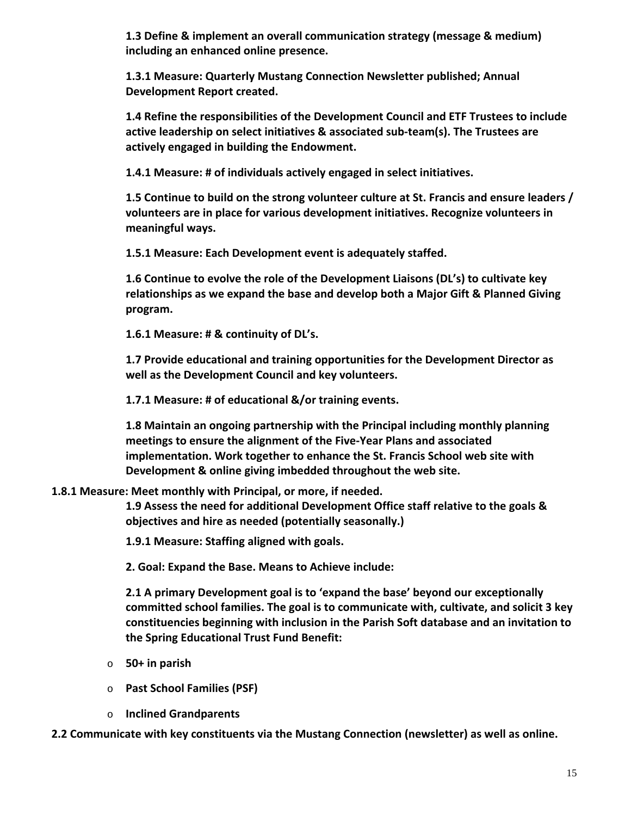**1.3 Define & implement an overall communication strategy (message & medium) including an enhanced online presence.**

**1.3.1 Measure: Quarterly Mustang Connection Newsletter published; Annual Development Report created.**

**1.4 Refine the responsibilities of the Development Council and ETF Trustees to include active leadership on select initiatives & associated sub‐team(s). The Trustees are actively engaged in building the Endowment.**

**1.4.1 Measure: # of individuals actively engaged in select initiatives.**

**1.5 Continue to build on the strong volunteer culture at St. Francis and ensure leaders / volunteers are in place for various development initiatives. Recognize volunteers in meaningful ways.**

**1.5.1 Measure: Each Development event is adequately staffed.**

**1.6 Continue to evolve the role of the Development Liaisons (DL's) to cultivate key relationships as we expand the base and develop both a Major Gift & Planned Giving program.**

**1.6.1 Measure: # & continuity of DL's.**

**1.7 Provide educational and training opportunities for the Development Director as well as the Development Council and key volunteers.**

**1.7.1 Measure: # of educational &/or training events.**

**1.8 Maintain an ongoing partnership with the Principal including monthly planning meetings to ensure the alignment of the Five‐Year Plans and associated implementation. Work together to enhance the St. Francis School web site with Development & online giving imbedded throughout the web site.**

## **1.8.1 Measure: Meet monthly with Principal, or more, if needed.**

**1.9 Assess the need for additional Development Office staff relative to the goals & objectives and hire as needed (potentially seasonally.)**

**1.9.1 Measure: Staffing aligned with goals.**

**2. Goal: Expand the Base. Means to Achieve include:**

**2.1 A primary Development goal is to 'expand the base' beyond our exceptionally committed school families. The goal is to communicate with, cultivate, and solicit 3 key constituencies beginning with inclusion in the Parish Soft database and an invitation to the Spring Educational Trust Fund Benefit:**

- o **50+ in parish**
- o **Past School Families (PSF)**
- o **Inclined Grandparents**

**2.2 Communicate with key constituents via the Mustang Connection (newsletter) as well as online.**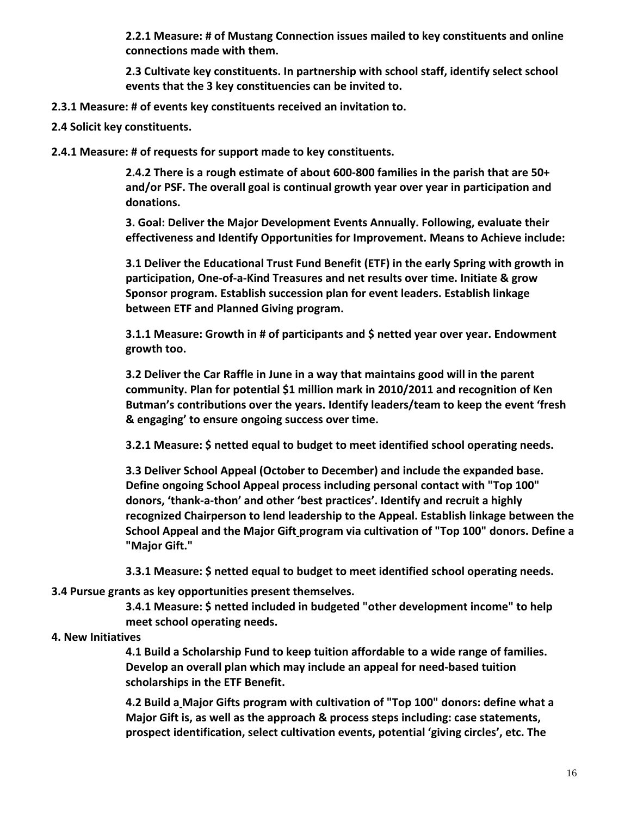**2.2.1 Measure: # of Mustang Connection issues mailed to key constituents and online connections made with them.**

**2.3 Cultivate key constituents. In partnership with school staff, identify select school events that the 3 key constituencies can be invited to.**

- **2.3.1 Measure: # of events key constituents received an invitation to.**
- **2.4 Solicit key constituents.**
- **2.4.1 Measure: # of requests for support made to key constituents.**

**2.4.2 There is a rough estimate of about 600‐800 families in the parish that are 50+ and/or PSF. The overall goal is continual growth year over year in participation and donations.**

**3. Goal: Deliver the Major Development Events Annually. Following, evaluate their effectiveness and Identify Opportunities for Improvement. Means to Achieve include:**

**3.1 Deliver the Educational Trust Fund Benefit (ETF) in the early Spring with growth in participation, One‐of‐a‐Kind Treasures and net results over time. Initiate & grow Sponsor program. Establish succession plan for event leaders. Establish linkage between ETF and Planned Giving program.**

**3.1.1 Measure: Growth in # of participants and \$ netted year over year. Endowment growth too.**

**3.2 Deliver the Car Raffle in June in a way that maintains good will in the parent community. Plan for potential \$1 million mark in 2010/2011 and recognition of Ken Butman's contributions over the years. Identify leaders/team to keep the event 'fresh & engaging' to ensure ongoing success over time.**

**3.2.1 Measure: \$ netted equal to budget to meet identified school operating needs.**

**3.3 Deliver School Appeal (October to December) and include the expanded base. Define ongoing School Appeal process including personal contact with "Top 100" donors, 'thank‐a‐thon' and other 'best practices'. Identify and recruit a highly recognized Chairperson to lend leadership to the Appeal. Establish linkage between the School Appeal and the Major Gift program via cultivation of "Top 100" donors. Define a "Major Gift."**

**3.3.1 Measure: \$ netted equal to budget to meet identified school operating needs.**

**3.4 Pursue grants as key opportunities present themselves.**

**3.4.1 Measure: \$ netted included in budgeted "other development income" to help meet school operating needs.**

#### **4. New Initiatives**

**4.1 Build a Scholarship Fund to keep tuition affordable to a wide range of families. Develop an overall plan which may include an appeal for need‐based tuition scholarships in the ETF Benefit.**

**4.2 Build a Major Gifts program with cultivation of "Top 100" donors: define what a Major Gift is, as well as the approach & process steps including: case statements, prospect identification, select cultivation events, potential 'giving circles', etc. The**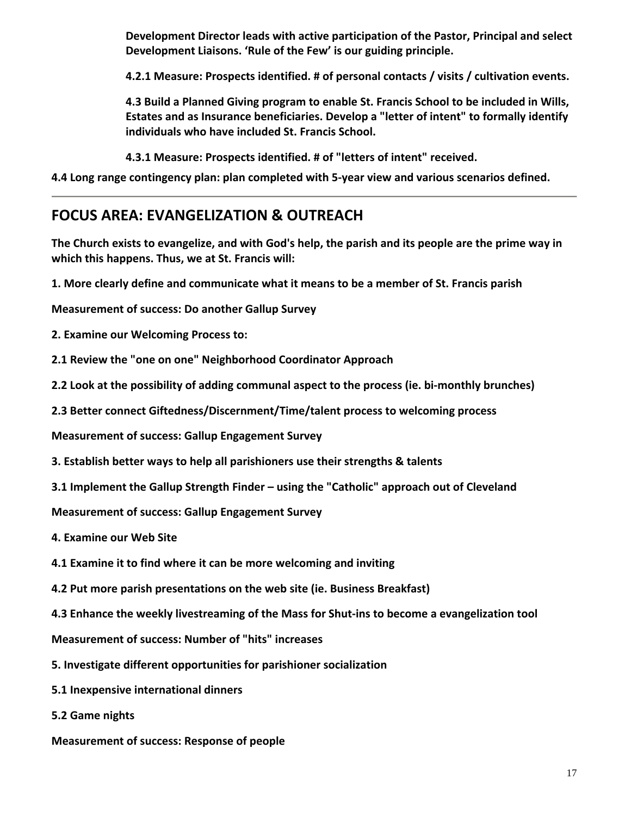**Development Director leads with active participation of the Pastor, Principal and select Development Liaisons. 'Rule of the Few' is our guiding principle.**

**4.2.1 Measure: Prospects identified. # of personal contacts / visits / cultivation events.**

**4.3 Build a Planned Giving program to enable St. Francis School to be included in Wills, Estates and as Insurance beneficiaries. Develop a "letter of intent" to formally identify individuals who have included St. Francis School.**

**4.3.1 Measure: Prospects identified. # of "letters of intent" received.**

**4.4 Long range contingency plan: plan completed with 5‐year view and various scenarios defined.**

# **FOCUS AREA: EVANGELIZATION & OUTREACH**

The Church exists to evangelize, and with God's help, the parish and its people are the prime way in **which this happens. Thus, we at St. Francis will:**

**1. More clearly define and communicate what it means to be a member of St. Francis parish**

**Measurement of success: Do another Gallup Survey**

**2. Examine our Welcoming Process to:**

**2.1 Review the "one on one" Neighborhood Coordinator Approach**

**2.2 Look at the possibility of adding communal aspect to the process (ie. bi‐monthly brunches)**

**2.3 Better connect Giftedness/Discernment/Time/talent process to welcoming process**

**Measurement of success: Gallup Engagement Survey**

**3. Establish better ways to help all parishioners use their strengths & talents**

**3.1 Implement the Gallup Strength Finder – using the "Catholic" approach out of Cleveland**

**Measurement of success: Gallup Engagement Survey**

**4. Examine our Web Site**

- **4.1 Examine it to find where it can be more welcoming and inviting**
- **4.2 Put more parish presentations on the web site (ie. Business Breakfast)**
- **4.3 Enhance the weekly livestreaming of the Mass for Shut‐ins to become a evangelization tool**

**Measurement of success: Number of "hits" increases**

- **5. Investigate different opportunities for parishioner socialization**
- **5.1 Inexpensive international dinners**
- **5.2 Game nights**
- **Measurement of success: Response of people**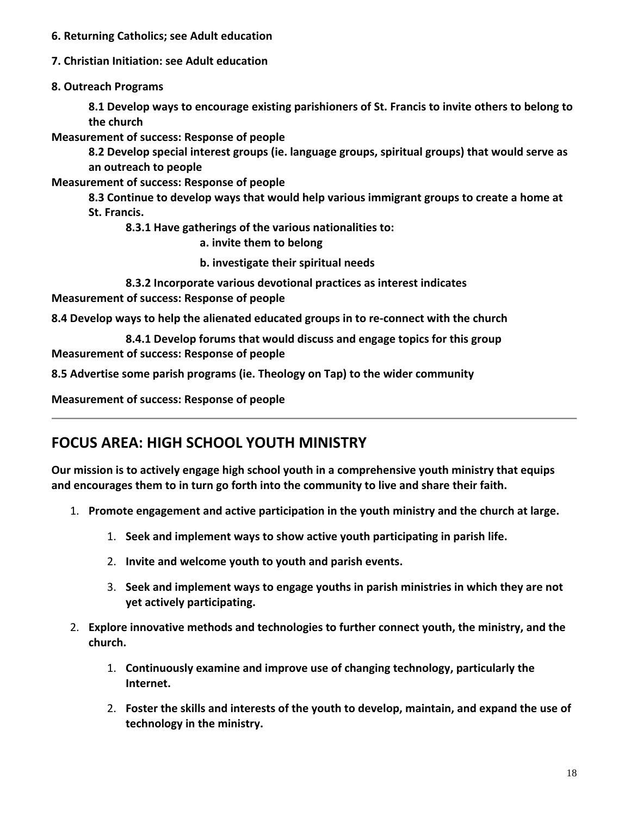- **6. Returning Catholics; see Adult education**
- **7. Christian Initiation: see Adult education**
- **8. Outreach Programs**

**8.1 Develop ways to encourage existing parishioners of St. Francis to invite others to belong to the church**

**Measurement of success: Response of people**

**8.2 Develop special interest groups (ie. language groups, spiritual groups) that would serve as an outreach to people**

**Measurement of success: Response of people**

**8.3 Continue to develop ways that would help various immigrant groups to create a home at St. Francis.**

**8.3.1 Have gatherings of the various nationalities to:**

**a. invite them to belong**

**b. investigate their spiritual needs**

**8.3.2 Incorporate various devotional practices as interest indicates Measurement of success: Response of people**

**8.4 Develop ways to help the alienated educated groups in to re‐connect with the church**

**8.4.1 Develop forums that would discuss and engage topics for this group Measurement of success: Response of people**

**8.5 Advertise some parish programs (ie. Theology on Tap) to the wider community**

**Measurement of success: Response of people**

## **FOCUS AREA: HIGH SCHOOL YOUTH MINISTRY**

**Our mission is to actively engage high school youth in a comprehensive youth ministry that equips and encourages them to in turn go forth into the community to live and share their faith.**

- 1. **Promote engagement and active participation in the youth ministry and the church at large.**
	- 1. **Seek and implement ways to show active youth participating in parish life.**
	- 2. **Invite and welcome youth to youth and parish events.**
	- 3. **Seek and implement ways to engage youths in parish ministries in which they are not yet actively participating.**
- 2. **Explore innovative methods and technologies to further connect youth, the ministry, and the church.**
	- 1. **Continuously examine and improve use of changing technology, particularly the Internet.**
	- 2. **Foster the skills and interests of the youth to develop, maintain, and expand the use of technology in the ministry.**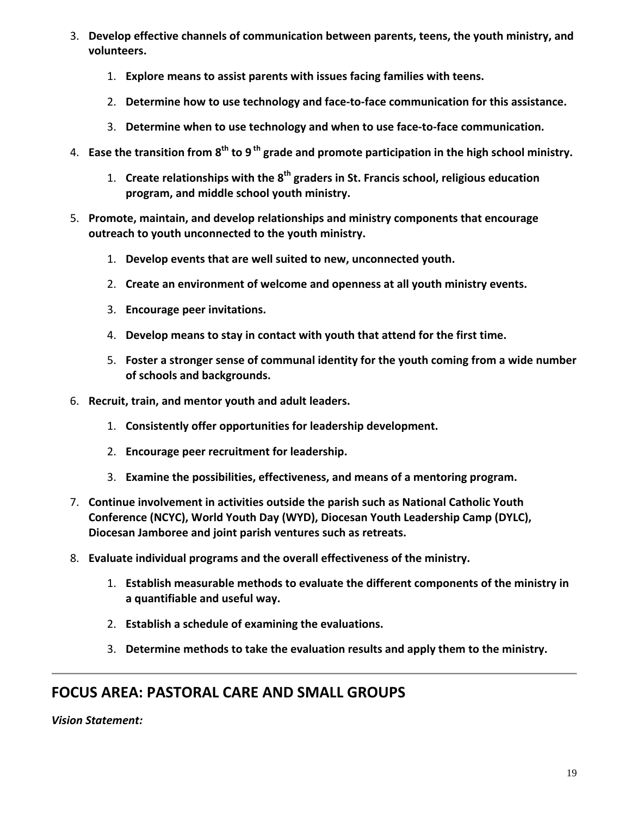- 3. **Develop effective channels of communication between parents, teens, the youth ministry, and volunteers.**
	- 1. **Explore means to assist parents with issues facing families with teens.**
	- 2. **Determine how to use technology and face‐to‐face communication for this assistance.**
	- 3. **Determine when to use technology and when to use face‐to‐face communication.**
- 4. **Ease the transition from 8th to 9 th grade and promote participation in the high school ministry.**
	- 1. **Create relationships with the 8th graders in St. Francis school, religious education program, and middle school youth ministry.**
- 5. **Promote, maintain, and develop relationships and ministry components that encourage outreach to youth unconnected to the youth ministry.**
	- 1. **Develop events that are well suited to new, unconnected youth.**
	- 2. **Create an environment of welcome and openness at all youth ministry events.**
	- 3. **Encourage peer invitations.**
	- 4. **Develop means to stay in contact with youth that attend for the first time.**
	- 5. **Foster a stronger sense of communal identity for the youth coming from a wide number of schools and backgrounds.**
- 6. **Recruit, train, and mentor youth and adult leaders.**
	- 1. **Consistently offer opportunities for leadership development.**
	- 2. **Encourage peer recruitment for leadership.**
	- 3. **Examine the possibilities, effectiveness, and means of a mentoring program.**
- 7. **Continue involvement in activities outside the parish such as National Catholic Youth Conference (NCYC), World Youth Day (WYD), Diocesan Youth Leadership Camp (DYLC), Diocesan Jamboree and joint parish ventures such as retreats.**
- 8. **Evaluate individual programs and the overall effectiveness of the ministry.**
	- 1. **Establish measurable methods to evaluate the different components of the ministry in a quantifiable and useful way.**
	- 2. **Establish a schedule of examining the evaluations.**
	- 3. **Determine methods to take the evaluation results and apply them to the ministry.**

# **FOCUS AREA: PASTORAL CARE AND SMALL GROUPS**

*Vision Statement:*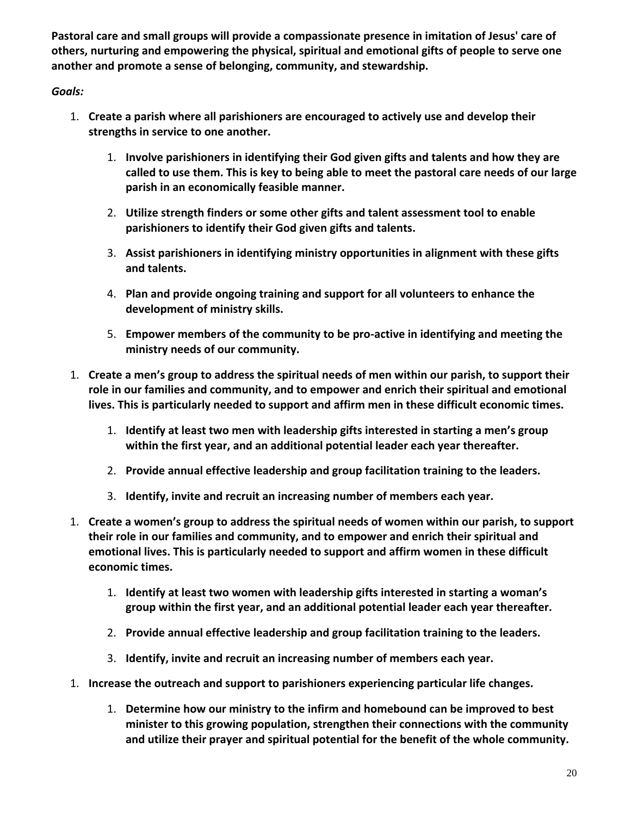**Pastoral care and small groups will provide a compassionate presence in imitation of Jesus' care of others, nurturing and empowering the physical, spiritual and emotional gifts of people to serve one another and promote a sense of belonging, community, and stewardship.**

- 1. **Create a parish where all parishioners are encouraged to actively use and develop their strengths in service to one another.**
	- 1. **Involve parishioners in identifying their God given gifts and talents and how they are called to use them. This is key to being able to meet the pastoral care needs of our large parish in an economically feasible manner.**
	- 2. **Utilize strength finders or some other gifts and talent assessment tool to enable parishioners to identify their God given gifts and talents.**
	- 3. **Assist parishioners in identifying ministry opportunities in alignment with these gifts and talents.**
	- 4. **Plan and provide ongoing training and support for all volunteers to enhance the development of ministry skills.**
	- 5. **Empower members of the community to be pro‐active in identifying and meeting the ministry needs of our community.**
- 1. **Create a men's group to address the spiritual needs of men within our parish, to support their role in our families and community, and to empower and enrich their spiritual and emotional lives. This is particularly needed to support and affirm men in these difficult economic times.**
	- 1. **Identify at least two men with leadership gifts interested in starting a men's group within the first year, and an additional potential leader each year thereafter.**
	- 2. **Provide annual effective leadership and group facilitation training to the leaders.**
	- 3. **Identify, invite and recruit an increasing number of members each year.**
- 1. **Create a women's group to address the spiritual needs of women within our parish, to support their role in our families and community, and to empower and enrich their spiritual and emotional lives. This is particularly needed to support and affirm women in these difficult economic times.**
	- 1. **Identify at least two women with leadership gifts interested in starting a woman's group within the first year, and an additional potential leader each year thereafter.**
	- 2. **Provide annual effective leadership and group facilitation training to the leaders.**
	- 3. **Identify, invite and recruit an increasing number of members each year.**
- 1. **Increase the outreach and support to parishioners experiencing particular life changes.**
	- 1. **Determine how our ministry to the infirm and homebound can be improved to best minister to this growing population, strengthen their connections with the community and utilize their prayer and spiritual potential for the benefit of the whole community.**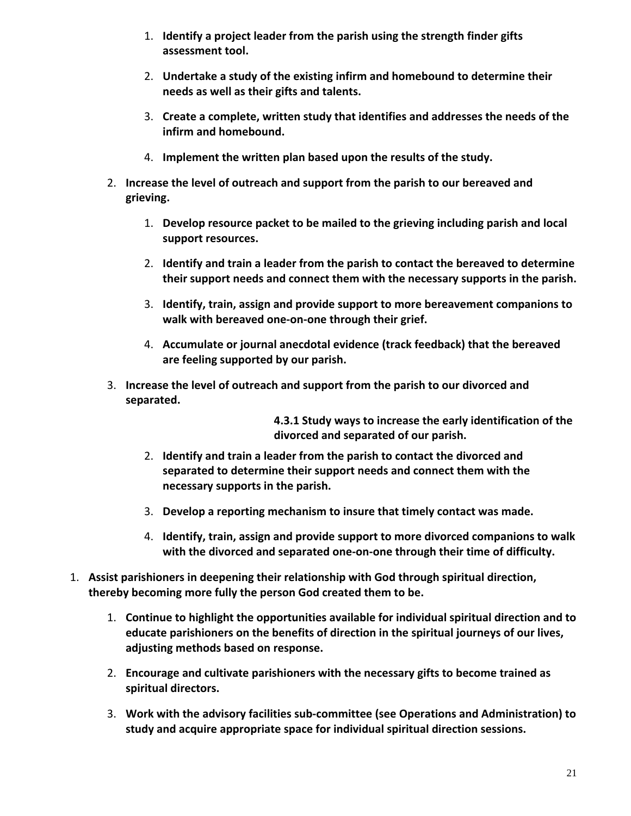- 1. **Identify a project leader from the parish using the strength finder gifts assessment tool.**
- 2. **Undertake a study of the existing infirm and homebound to determine their needs as well as their gifts and talents.**
- 3. **Create a complete, written study that identifies and addresses the needs of the infirm and homebound.**
- 4. **Implement the written plan based upon the results of the study.**
- 2. **Increase the level of outreach and support from the parish to our bereaved and grieving.**
	- 1. **Develop resource packet to be mailed to the grieving including parish and local support resources.**
	- 2. **Identify and train a leader from the parish to contact the bereaved to determine their support needs and connect them with the necessary supports in the parish.**
	- 3. **Identify, train, assign and provide support to more bereavement companions to walk with bereaved one‐on‐one through their grief.**
	- 4. **Accumulate or journal anecdotal evidence (track feedback) that the bereaved are feeling supported by our parish.**
- 3. **Increase the level of outreach and support from the parish to our divorced and separated.**

**4.3.1 Study ways to increase the early identification of the divorced and separated of our parish.**

- 2. **Identify and train a leader from the parish to contact the divorced and separated to determine their support needs and connect them with the necessary supports in the parish.**
- 3. **Develop a reporting mechanism to insure that timely contact was made.**
- 4. **Identify, train, assign and provide support to more divorced companions to walk with the divorced and separated one‐on‐one through their time of difficulty.**
- 1. **Assist parishioners in deepening their relationship with God through spiritual direction, thereby becoming more fully the person God created them to be.**
	- 1. **Continue to highlight the opportunities available for individual spiritual direction and to educate parishioners on the benefits of direction in the spiritual journeys of our lives, adjusting methods based on response.**
	- 2. **Encourage and cultivate parishioners with the necessary gifts to become trained as spiritual directors.**
	- 3. **Work with the advisory facilities sub‐committee (see Operations and Administration) to study and acquire appropriate space for individual spiritual direction sessions.**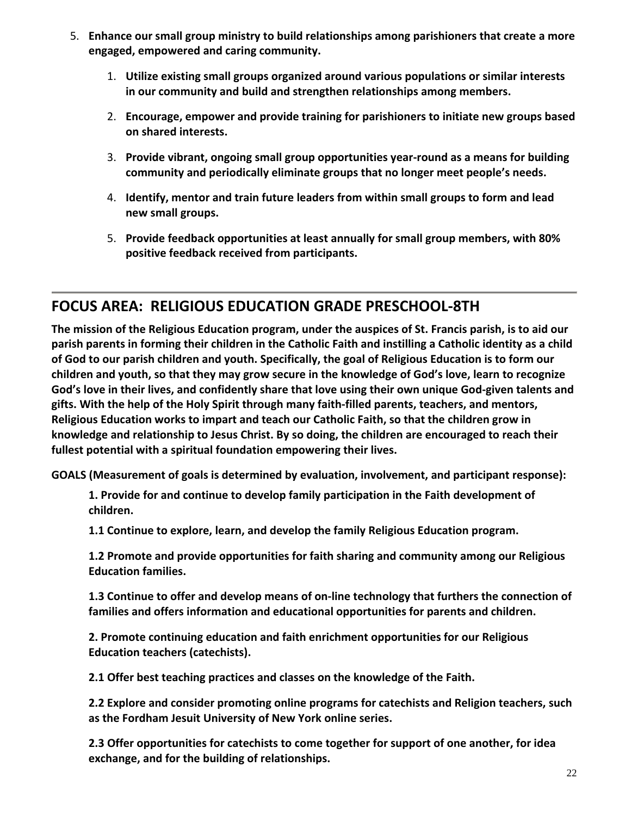- 5. **Enhance our small group ministry to build relationships among parishioners that create a more engaged, empowered and caring community.**
	- 1. **Utilize existing small groups organized around various populations or similar interests in our community and build and strengthen relationships among members.**
	- 2. **Encourage, empower and provide training for parishioners to initiate new groups based on shared interests.**
	- 3. **Provide vibrant, ongoing small group opportunities year‐round as a means for building community and periodically eliminate groups that no longer meet people's needs.**
	- 4. **Identify, mentor and train future leaders from within small groups to form and lead new small groups.**
	- 5. **Provide feedback opportunities at least annually for small group members, with 80% positive feedback received from participants.**

## **FOCUS AREA: RELIGIOUS EDUCATION GRADE PRESCHOOL‐8TH**

The mission of the Religious Education program, under the auspices of St. Francis parish, is to aid our parish parents in forming their children in the Catholic Faith and instilling a Catholic identity as a child of God to our parish children and youth. Specifically, the goal of Religious Education is to form our children and youth, so that they may grow secure in the knowledge of God's love, learn to recognize God's love in their lives, and confidently share that love using their own unique God-given talents and **gifts. With the help of the Holy Spirit through many faith‐filled parents, teachers, and mentors, Religious Education works to impart and teach our Catholic Faith, so that the children grow in knowledge and relationship to Jesus Christ. By so doing, the children are encouraged to reach their fullest potential with a spiritual foundation empowering their lives.**

**GOALS (Measurement of goals is determined by evaluation, involvement, and participant response):**

**1. Provide for and continue to develop family participation in the Faith development of children.**

**1.1 Continue to explore, learn, and develop the family Religious Education program.**

**1.2 Promote and provide opportunities for faith sharing and community among our Religious Education families.**

**1.3 Continue to offer and develop means of on‐line technology that furthers the connection of families and offers information and educational opportunities for parents and children.**

**2. Promote continuing education and faith enrichment opportunities for our Religious Education teachers (catechists).**

**2.1 Offer best teaching practices and classes on the knowledge of the Faith.**

**2.2 Explore and consider promoting online programs for catechists and Religion teachers, such as the Fordham Jesuit University of New York online series.**

**2.3 Offer opportunities for catechists to come together for support of one another, for idea exchange, and for the building of relationships.**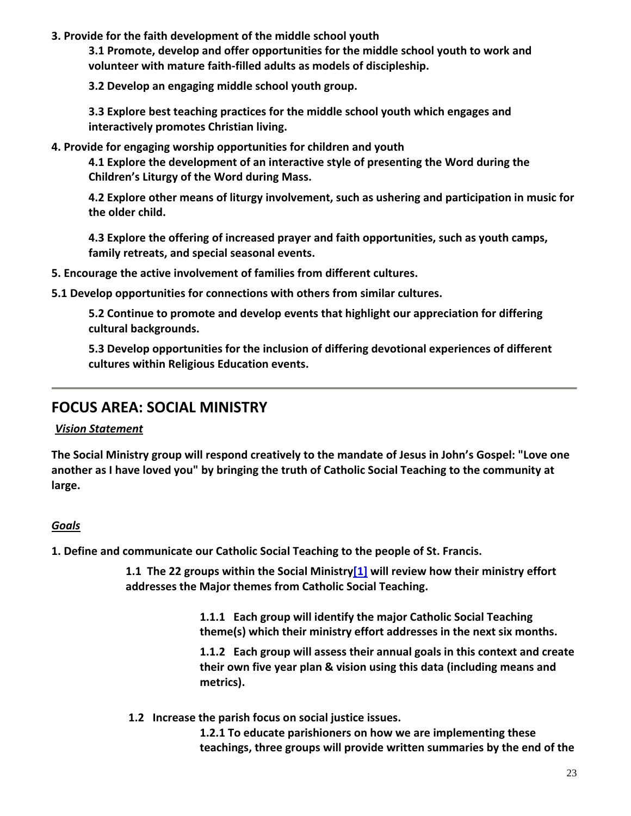#### **3. Provide for the faith development of the middle school youth**

**3.1 Promote, develop and offer opportunities for the middle school youth to work and volunteer with mature faith‐filled adults as models of discipleship.**

**3.2 Develop an engaging middle school youth group.**

**3.3 Explore best teaching practices for the middle school youth which engages and interactively promotes Christian living.**

**4. Provide for engaging worship opportunities for children and youth**

**4.1 Explore the development of an interactive style of presenting the Word during the Children's Liturgy of the Word during Mass.**

**4.2 Explore other means of liturgy involvement, such as ushering and participation in music for the older child.**

**4.3 Explore the offering of increased prayer and faith opportunities, such as youth camps, family retreats, and special seasonal events.**

**5. Encourage the active involvement of families from different cultures.**

**5.1 Develop opportunities for connections with others from similar cultures.**

**5.2 Continue to promote and develop events that highlight our appreciation for differing cultural backgrounds.**

**5.3 Develop opportunities for the inclusion of differing devotional experiences of different cultures within Religious Education events.**

## **FOCUS AREA: SOCIAL MINISTRY**

## *Vision Statement*

**The Social Ministry group will respond creatively to the mandate of Jesus in John's Gospel: "Love one another as I have loved you" by bringing the truth of Catholic Social Teaching to the community at large.**

## *Goals*

**1. Define and communicate our Catholic Social Teaching to the people of St. Francis.**

**1.1 The 22 groups within the Social Ministry[1] will review how their ministry effort addresses the Major themes from Catholic Social Teaching.**

> **1.1.1 Each group will identify the major Catholic Social Teaching theme(s) which their ministry effort addresses in the next six months.**

**1.1.2 Each group will assess their annual goals in this context and create their own five year plan & vision using this data (including means and metrics).**

**1.2 Increase the parish focus on social justice issues.**

**1.2.1 To educate parishioners on how we are implementing these teachings, three groups will provide written summaries by the end of the**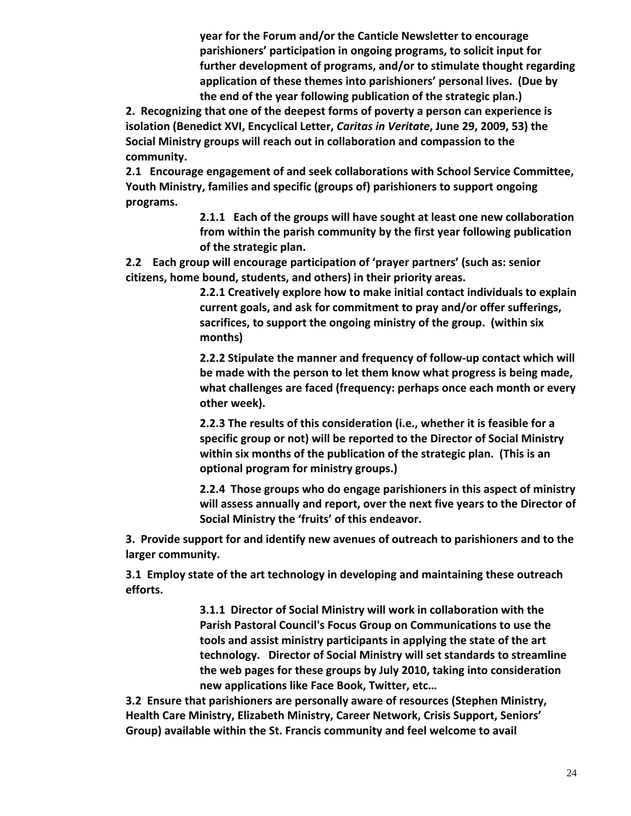**year for the Forum and/or the Canticle Newsletter to encourage parishioners' participation in ongoing programs, to solicit input for further development of programs, and/or to stimulate thought regarding application of these themes into parishioners' personal lives. (Due by the end of the year following publication of the strategic plan.)**

**2. Recognizing that one of the deepest forms of poverty a person can experience is isolation (Benedict XVI, Encyclical Letter,** *Caritas in Veritate***, June 29, 2009, 53) the Social Ministry groups will reach out in collaboration and compassion to the community.**

**2.1 Encourage engagement of and seek collaborations with School Service Committee, Youth Ministry, families and specific (groups of) parishioners to support ongoing programs.**

> **2.1.1 Each of the groups will have sought at least one new collaboration from within the parish community by the first year following publication of the strategic plan.**

**2.2 Each group will encourage participation of 'prayer partners' (such as: senior citizens, home bound, students, and others) in their priority areas.**

> **2.2.1 Creatively explore how to make initial contact individuals to explain current goals, and ask for commitment to pray and/or offer sufferings, sacrifices, to support the ongoing ministry of the group. (within six months)**

> **2.2.2 Stipulate the manner and frequency of follow‐up contact which will be made with the person to let them know what progress is being made, what challenges are faced (frequency: perhaps once each month or every other week).**

**2.2.3 The results of this consideration (i.e., whether it is feasible for a specific group or not) will be reported to the Director of Social Ministry within six months of the publication of the strategic plan. (This is an optional program for ministry groups.)**

**2.2.4 Those groups who do engage parishioners in this aspect of ministry will assess annually and report, over the next five years to the Director of Social Ministry the 'fruits' of this endeavor.**

**3. Provide support for and identify new avenues of outreach to parishioners and to the larger community.**

**3.1 Employ state of the art technology in developing and maintaining these outreach efforts.**

> **3.1.1 Director of Social Ministry will work in collaboration with the Parish Pastoral Council's Focus Group on Communications to use the tools and assist ministry participants in applying the state of the art technology. Director of Social Ministry will set standards to streamline the web pages for these groups by July 2010, taking into consideration new applications like Face Book, Twitter, etc…**

**3.2 Ensure that parishioners are personally aware of resources (Stephen Ministry, Health Care Ministry, Elizabeth Ministry, Career Network, Crisis Support, Seniors' Group) available within the St. Francis community and feel welcome to avail**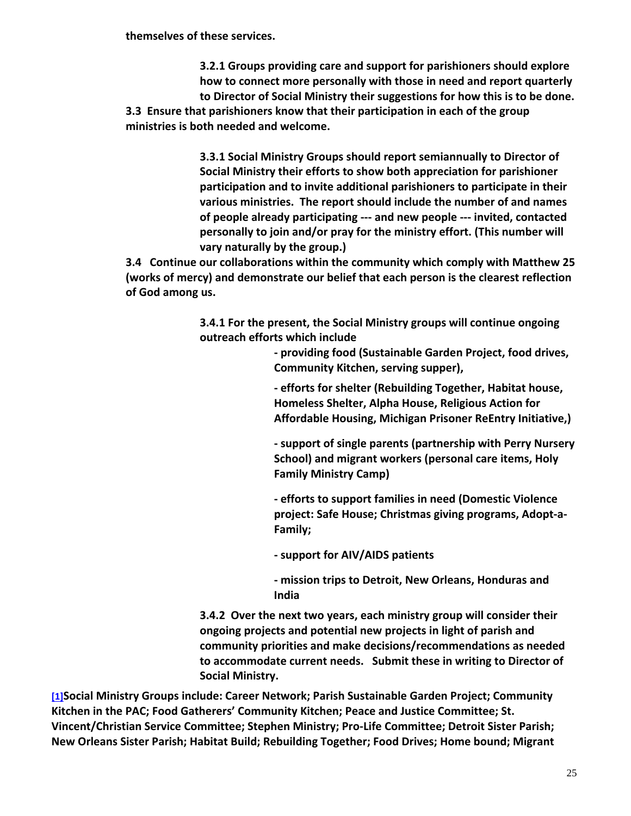**themselves of these services.**

**3.2.1 Groups providing care and support for parishioners should explore how to connect more personally with those in need and report quarterly to Director of Social Ministry their suggestions for how this is to be done. 3.3 Ensure that parishioners know that their participation in each of the group ministries is both needed and welcome.**

> **3.3.1 Social Ministry Groups should report semiannually to Director of Social Ministry their efforts to show both appreciation for parishioner participation and to invite additional parishioners to participate in their various ministries. The report should include the number of and names of people already participating ‐‐‐ and new people ‐‐‐ invited, contacted personally to join and/or pray for the ministry effort. (This number will vary naturally by the group.)**

**3.4 Continue our collaborations within the community which comply with Matthew 25 (works of mercy) and demonstrate our belief that each person is the clearest reflection of God among us.**

> **3.4.1 For the present, the Social Ministry groups will continue ongoing outreach efforts which include**

> > **‐ providing food (Sustainable Garden Project, food drives, Community Kitchen, serving supper),**

**‐ efforts for shelter (Rebuilding Together, Habitat house, Homeless Shelter, Alpha House, Religious Action for Affordable Housing, Michigan Prisoner ReEntry Initiative,)**

**‐ support of single parents (partnership with Perry Nursery School) and migrant workers (personal care items, Holy Family Ministry Camp)**

**‐ efforts to support families in need (Domestic Violence project: Safe House; Christmas giving programs, Adopt‐a‐ Family;**

**‐ support for AIV/AIDS patients**

**‐ mission trips to Detroit, New Orleans, Honduras and India**

**3.4.2 Over the next two years, each ministry group will consider their ongoing projects and potential new projects in light of parish and community priorities and make decisions/recommendations as needed to accommodate current needs. Submit these in writing to Director of Social Ministry.**

**[1]Social Ministry Groups include: Career Network; Parish Sustainable Garden Project; Community Kitchen in the PAC; Food Gatherers' Community Kitchen; Peace and Justice Committee; St. Vincent/Christian Service Committee; Stephen Ministry; Pro‐Life Committee; Detroit Sister Parish; New Orleans Sister Parish; Habitat Build; Rebuilding Together; Food Drives; Home bound; Migrant**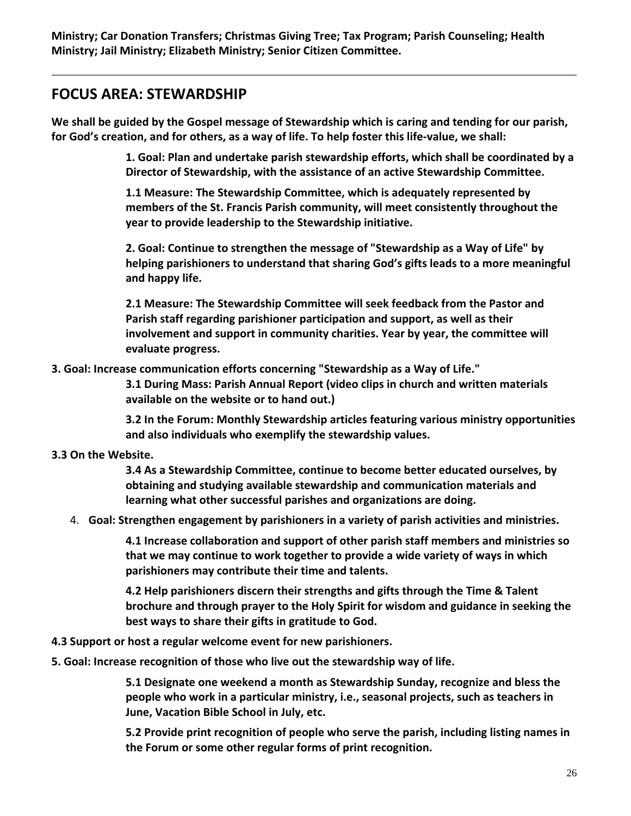**Ministry; Car Donation Transfers; Christmas Giving Tree; Tax Program; Parish Counseling; Health Ministry; Jail Ministry; Elizabeth Ministry; Senior Citizen Committee.**

## **FOCUS AREA: STEWARDSHIP**

We shall be guided by the Gospel message of Stewardship which is caring and tending for our parish, for God's creation, and for others, as a way of life. To help foster this life-value, we shall:

> **1. Goal: Plan and undertake parish stewardship efforts, which shall be coordinated by a Director of Stewardship, with the assistance of an active Stewardship Committee.**

**1.1 Measure: The Stewardship Committee, which is adequately represented by members of the St. Francis Parish community, will meet consistently throughout the year to provide leadership to the Stewardship initiative.**

**2. Goal: Continue to strengthen the message of "Stewardship as a Way of Life" by helping parishioners to understand that sharing God's gifts leads to a more meaningful and happy life.**

**2.1 Measure: The Stewardship Committee will seek feedback from the Pastor and Parish staff regarding parishioner participation and support, as well as their involvement and support in community charities. Year by year, the committee will evaluate progress.**

**3. Goal: Increase communication efforts concerning "Stewardship as a Way of Life."**

**3.1 During Mass: Parish Annual Report (video clips in church and written materials available on the website or to hand out.)**

**3.2 In the Forum: Monthly Stewardship articles featuring various ministry opportunities and also individuals who exemplify the stewardship values.**

## **3.3 On the Website.**

**3.4 As a Stewardship Committee, continue to become better educated ourselves, by obtaining and studying available stewardship and communication materials and learning what other successful parishes and organizations are doing.**

4. **Goal: Strengthen engagement by parishioners in a variety of parish activities and ministries.**

**4.1 Increase collaboration and support of other parish staff members and ministries so that we may continue to work together to provide a wide variety of ways in which parishioners may contribute their time and talents.**

**4.2 Help parishioners discern their strengths and gifts through the Time & Talent brochure and through prayer to the Holy Spirit for wisdom and guidance in seeking the best ways to share their gifts in gratitude to God.**

- **4.3 Support or host a regular welcome event for new parishioners.**
- **5. Goal: Increase recognition of those who live out the stewardship way of life.**

**5.1 Designate one weekend a month as Stewardship Sunday, recognize and bless the people who work in a particular ministry, i.e., seasonal projects, such as teachers in June, Vacation Bible School in July, etc.**

**5.2 Provide print recognition of people who serve the parish, including listing names in the Forum or some other regular forms of print recognition.**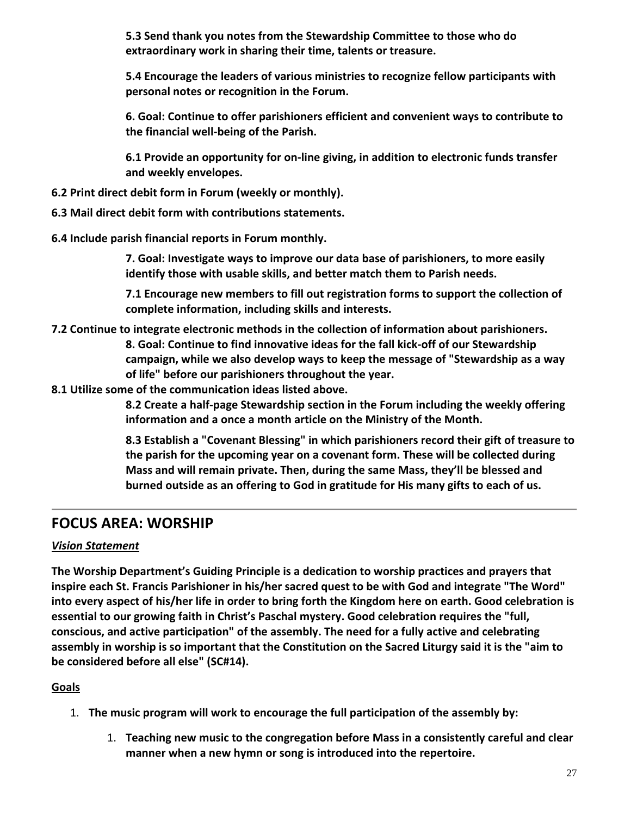**5.3 Send thank you notes from the Stewardship Committee to those who do extraordinary work in sharing their time, talents or treasure.**

**5.4 Encourage the leaders of various ministries to recognize fellow participants with personal notes or recognition in the Forum.**

**6. Goal: Continue to offer parishioners efficient and convenient ways to contribute to the financial well‐being of the Parish.**

**6.1 Provide an opportunity for on‐line giving, in addition to electronic funds transfer and weekly envelopes.**

- **6.2 Print direct debit form in Forum (weekly or monthly).**
- **6.3 Mail direct debit form with contributions statements.**
- **6.4 Include parish financial reports in Forum monthly.**

**7. Goal: Investigate ways to improve our data base of parishioners, to more easily identify those with usable skills, and better match them to Parish needs.**

**7.1 Encourage new members to fill out registration forms to support the collection of complete information, including skills and interests.**

**7.2 Continue to integrate electronic methods in the collection of information about parishioners. 8. Goal: Continue to find innovative ideas for the fall kick‐off of our Stewardship campaign, while we also develop ways to keep the message of "Stewardship as a way of life" before our parishioners throughout the year.**

**8.1 Utilize some of the communication ideas listed above.**

**8.2 Create a half‐page Stewardship section in the Forum including the weekly offering information and a once a month article on the Ministry of the Month.**

**8.3 Establish a "Covenant Blessing" in which parishioners record their gift of treasure to the parish for the upcoming year on a covenant form. These will be collected during Mass and will remain private. Then, during the same Mass, they'll be blessed and burned outside as an offering to God in gratitude for His many gifts to each of us.**

## **FOCUS AREA: WORSHIP**

## *Vision Statement*

**The Worship Department's Guiding Principle is a dedication to worship practices and prayers that inspire each St. Francis Parishioner in his/her sacred quest to be with God and integrate "The Word"** into every aspect of his/her life in order to bring forth the Kingdom here on earth. Good celebration is **essential to our growing faith in Christ's Paschal mystery. Good celebration requires the "full, conscious, and active participation" of the assembly. The need for a fully active and celebrating** assembly in worship is so important that the Constitution on the Sacred Liturgy said it is the "aim to **be considered before all else" (SC#14).**

- 1. **The music program will work to encourage the full participation of the assembly by:**
	- 1. **Teaching new music to the congregation before Mass in a consistently careful and clear manner when a new hymn or song is introduced into the repertoire.**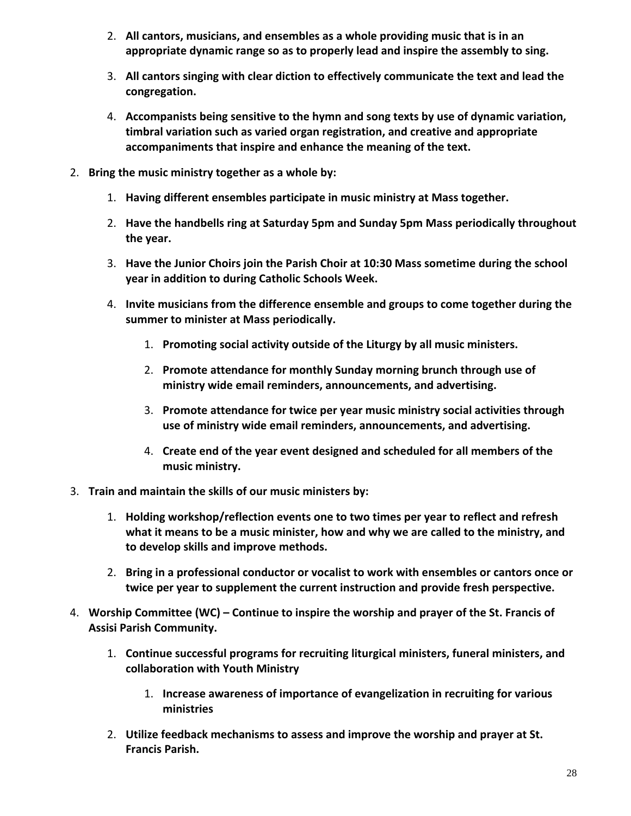- 2. **All cantors, musicians, and ensembles as a whole providing music that is in an appropriate dynamic range so as to properly lead and inspire the assembly to sing.**
- 3. **All cantors singing with clear diction to effectively communicate the text and lead the congregation.**
- 4. **Accompanists being sensitive to the hymn and song texts by use of dynamic variation, timbral variation such as varied organ registration, and creative and appropriate accompaniments that inspire and enhance the meaning of the text.**
- 2. **Bring the music ministry together as a whole by:**
	- 1. **Having different ensembles participate in music ministry at Mass together.**
	- 2. **Have the handbells ring at Saturday 5pm and Sunday 5pm Mass periodically throughout the year.**
	- 3. **Have the Junior Choirs join the Parish Choir at 10:30 Mass sometime during the school year in addition to during Catholic Schools Week.**
	- 4. **Invite musicians from the difference ensemble and groups to come together during the summer to minister at Mass periodically.**
		- 1. **Promoting social activity outside of the Liturgy by all music ministers.**
		- 2. **Promote attendance for monthly Sunday morning brunch through use of ministry wide email reminders, announcements, and advertising.**
		- 3. **Promote attendance for twice per year music ministry social activities through use of ministry wide email reminders, announcements, and advertising.**
		- 4. **Create end of the year event designed and scheduled for all members of the music ministry.**
- 3. **Train and maintain the skills of our music ministers by:**
	- 1. **Holding workshop/reflection events one to two times per year to reflect and refresh what it means to be a music minister, how and why we are called to the ministry, and to develop skills and improve methods.**
	- 2. **Bring in a professional conductor or vocalist to work with ensembles or cantors once or twice per year to supplement the current instruction and provide fresh perspective.**
- 4. **Worship Committee (WC) – Continue to inspire the worship and prayer of the St. Francis of Assisi Parish Community.**
	- 1. **Continue successful programs for recruiting liturgical ministers, funeral ministers, and collaboration with Youth Ministry**
		- 1. **Increase awareness of importance of evangelization in recruiting for various ministries**
	- 2. **Utilize feedback mechanisms to assess and improve the worship and prayer at St. Francis Parish.**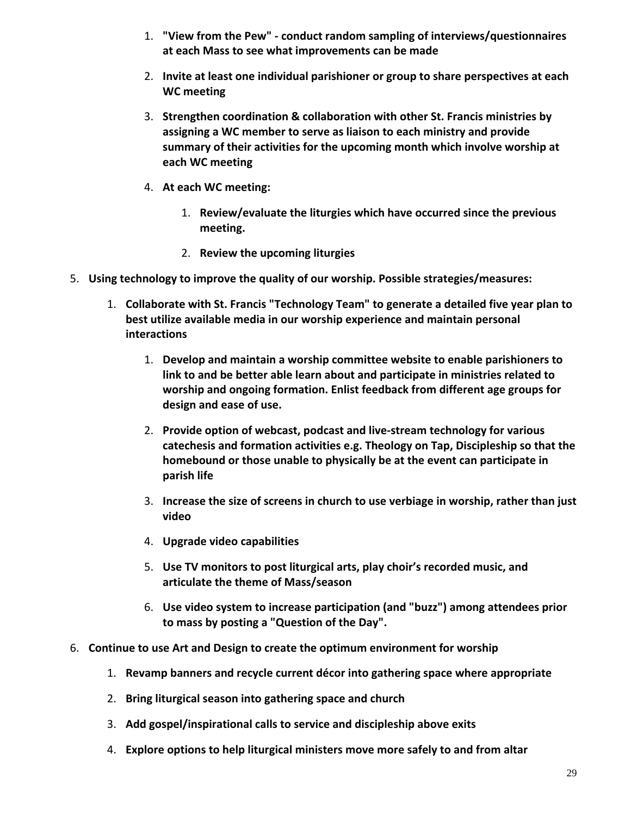- 1. **"View from the Pew" ‐ conduct random sampling of interviews/questionnaires at each Mass to see what improvements can be made**
- 2. **Invite at least one individual parishioner or group to share perspectives at each WC meeting**
- 3. **Strengthen coordination & collaboration with other St. Francis ministries by assigning a WC member to serve as liaison to each ministry and provide summary of their activities for the upcoming month which involve worship at each WC meeting**
- 4. **At each WC meeting:**
	- 1. **Review/evaluate the liturgies which have occurred since the previous meeting.**
	- 2. **Review the upcoming liturgies**
- 5. **Using technology to improve the quality of our worship. Possible strategies/measures:**
	- 1. **Collaborate with St. Francis "Technology Team" to generate a detailed five year plan to best utilize available media in our worship experience and maintain personal interactions**
		- 1. **Develop and maintain a worship committee website to enable parishioners to link to and be better able learn about and participate in ministries related to worship and ongoing formation. Enlist feedback from different age groups for design and ease of use.**
		- 2. **Provide option of webcast, podcast and live‐stream technology for various catechesis and formation activities e.g. Theology on Tap, Discipleship so that the homebound or those unable to physically be at the event can participate in parish life**
		- 3. **Increase the size of screens in church to use verbiage in worship, rather than just video**
		- 4. **Upgrade video capabilities**
		- 5. **Use TV monitors to post liturgical arts, play choir's recorded music, and articulate the theme of Mass/season**
		- 6. **Use video system to increase participation (and "buzz") among attendees prior to mass by posting a "Question of the Day".**
- 6. **Continue to use Art and Design to create the optimum environment for worship**
	- 1. **Revamp banners and recycle current décor into gathering space where appropriate**
	- 2. **Bring liturgical season into gathering space and church**
	- 3. **Add gospel/inspirational calls to service and discipleship above exits**
	- 4. **Explore options to help liturgical ministers move more safely to and from altar**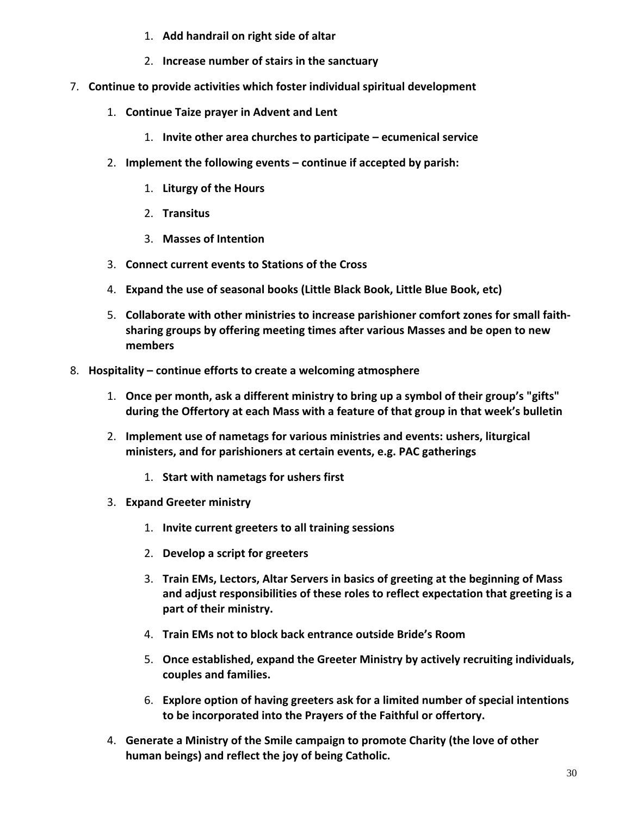- 1. **Add handrail on right side of altar**
- 2. **Increase number of stairs in the sanctuary**
- 7. **Continue to provide activities which foster individual spiritual development**
	- 1. **Continue Taize prayer in Advent and Lent**
		- 1. **Invite other area churches to participate – ecumenical service**
	- 2. **Implement the following events – continue if accepted by parish:**
		- 1. **Liturgy of the Hours**
		- 2. **Transitus**
		- 3. **Masses of Intention**
	- 3. **Connect current events to Stations of the Cross**
	- 4. **Expand the use of seasonal books (Little Black Book, Little Blue Book, etc)**
	- 5. **Collaborate with other ministries to increase parishioner comfort zones for small faith‐ sharing groups by offering meeting times after various Masses and be open to new members**
- 8. **Hospitality – continue efforts to create a welcoming atmosphere**
	- 1. **Once per month, ask a different ministry to bring up a symbol of their group's "gifts" during the Offertory at each Mass with a feature of that group in that week's bulletin**
	- 2. **Implement use of nametags for various ministries and events: ushers, liturgical ministers, and for parishioners at certain events, e.g. PAC gatherings**
		- 1. **Start with nametags for ushers first**
	- 3. **Expand Greeter ministry**
		- 1. **Invite current greeters to all training sessions**
		- 2. **Develop a script for greeters**
		- 3. **Train EMs, Lectors, Altar Servers in basics of greeting at the beginning of Mass and adjust responsibilities of these roles to reflect expectation that greeting is a part of their ministry.**
		- 4. **Train EMs not to block back entrance outside Bride's Room**
		- 5. **Once established, expand the Greeter Ministry by actively recruiting individuals, couples and families.**
		- 6. **Explore option of having greeters ask for a limited number of special intentions to be incorporated into the Prayers of the Faithful or offertory.**
	- 4. **Generate a Ministry of the Smile campaign to promote Charity (the love of other human beings) and reflect the joy of being Catholic.**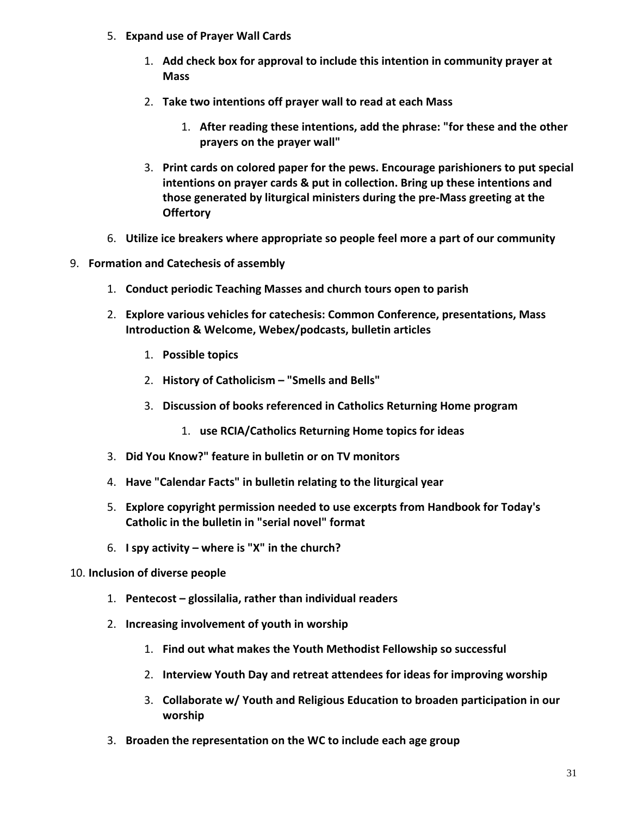- 5. **Expand use of Prayer Wall Cards**
	- 1. **Add check box for approval to include this intention in community prayer at Mass**
	- 2. **Take two intentions off prayer wall to read at each Mass**
		- 1. **After reading these intentions, add the phrase: "for these and the other prayers on the prayer wall"**
	- 3. **Print cards on colored paper for the pews. Encourage parishioners to put special intentions on prayer cards & put in collection. Bring up these intentions and those generated by liturgical ministers during the pre‐Mass greeting at the Offertory**
- 6. **Utilize ice breakers where appropriate so people feel more a part of our community**
- 9. **Formation and Catechesis of assembly**
	- 1. **Conduct periodic Teaching Masses and church tours open to parish**
	- 2. **Explore various vehicles for catechesis: Common Conference, presentations, Mass Introduction & Welcome, Webex/podcasts, bulletin articles**
		- 1. **Possible topics**
		- 2. **History of Catholicism – "Smells and Bells"**
		- 3. **Discussion of books referenced in Catholics Returning Home program**
			- 1. **use RCIA/Catholics Returning Home topics for ideas**
	- 3. **Did You Know?" feature in bulletin or on TV monitors**
	- 4. **Have "Calendar Facts" in bulletin relating to the liturgical year**
	- 5. **Explore copyright permission needed to use excerpts from Handbook for Today's Catholic in the bulletin in "serial novel" format**
	- 6. **I spy activity – where is "X" in the church?**
- 10. **Inclusion of diverse people**
	- 1. **Pentecost – glossilalia, rather than individual readers**
	- 2. **Increasing involvement of youth in worship**
		- 1. **Find out what makes the Youth Methodist Fellowship so successful**
		- 2. **Interview Youth Day and retreat attendees for ideas for improving worship**
		- 3. **Collaborate w/ Youth and Religious Education to broaden participation in our worship**
	- 3. **Broaden the representation on the WC to include each age group**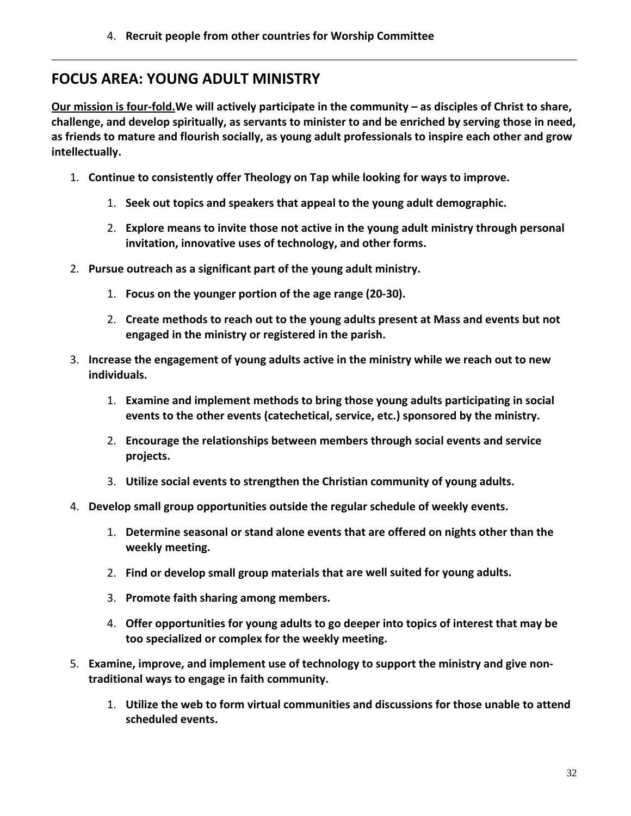## **FOCUS AREA: YOUNG ADULT MINISTRY**

Our mission is four-fold. We will actively participate in the community  $-$  as disciples of Christ to share, **challenge, and develop spiritually, as servants to minister to and be enriched by serving those in need, as friends to mature and flourish socially, as young adult professionals to inspire each other and grow intellectually.**

- 1. **Continue to consistently offer Theology on Tap while looking for ways to improve.**
	- 1. **Seek out topics and speakers that appeal to the young adult demographic.**
	- 2. **Explore means to invite those not active in the young adult ministry through personal invitation, innovative uses of technology, and other forms.**
- 2. **Pursue outreach as a significant part of the young adult ministry.**
	- 1. **Focus on the younger portion of the age range (20‐30).**
	- 2. **Create methods to reach out to the young adults present at Mass and events but not engaged in the ministry or registered in the parish.**
- 3. **Increase the engagement of young adults active in the ministry while we reach out to new individuals.**
	- 1. **Examine and implement methods to bring those young adults participating in social events to the other events (catechetical, service, etc.) sponsored by the ministry.**
	- 2. **Encourage the relationships between members through social events and service projects.**
	- 3. **Utilize social events to strengthen the Christian community of young adults.**
- 4. **Develop small group opportunities outside the regular schedule of weekly events.**
	- 1. **Determine seasonal or stand alone events that are offered on nights other than the weekly meeting.**
	- 2. **Find or develop small group materials that are well suited for young adults.**
	- 3. **Promote faith sharing among members.**
	- 4. **Offer opportunities for young adults to go deeper into topics of interest that may be too specialized or complex for the weekly meeting.**
- 5. **Examine, improve, and implement use of technology to support the ministry and give non‐ traditional ways to engage in faith community.**
	- 1. **Utilize the web to form virtual communities and discussions for those unable to attend scheduled events.**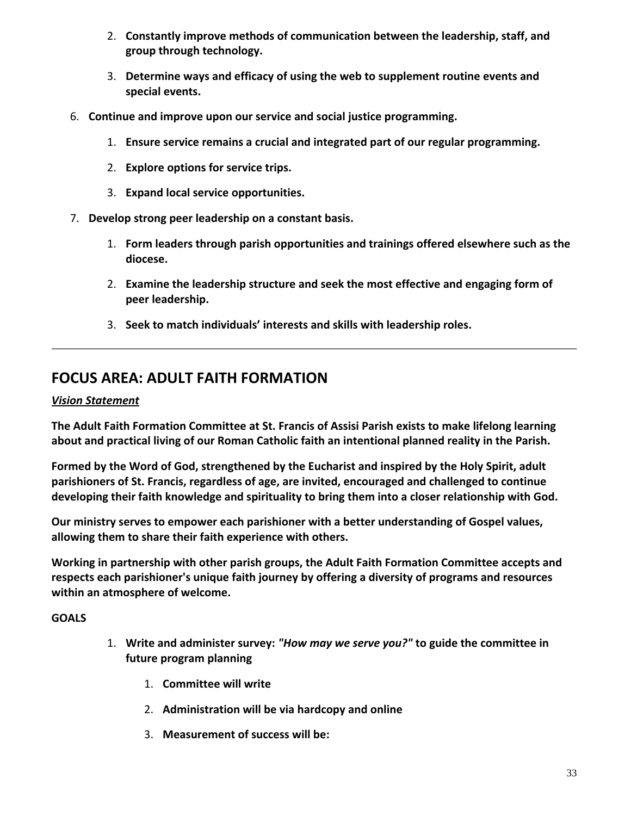- 2. **Constantly improve methods of communication between the leadership, staff, and group through technology.**
- 3. **Determine ways and efficacy of using the web to supplement routine events and special events.**
- 6. **Continue and improve upon our service and social justice programming.**
	- 1. **Ensure service remains a crucial and integrated part of our regular programming.**
	- 2. **Explore options for service trips.**
	- 3. **Expand local service opportunities.**
- 7. **Develop strong peer leadership on a constant basis.**
	- 1. **Form leaders through parish opportunities and trainings offered elsewhere such as the diocese.**
	- 2. **Examine the leadership structure and seek the most effective and engaging form of peer leadership.**
	- 3. **Seek to match individuals' interests and skills with leadership roles.**

# **FOCUS AREA: ADULT FAITH FORMATION**

## *Vision Statement*

**The Adult Faith Formation Committee at St. Francis of Assisi Parish exists to make lifelong learning about and practical living of our Roman Catholic faith an intentional planned reality in the Parish.**

**Formed by the Word of God, strengthened by the Eucharist and inspired by the Holy Spirit, adult parishioners of St. Francis, regardless of age, are invited, encouraged and challenged to continue developing their faith knowledge and spirituality to bring them into a closer relationship with God.**

**Our ministry serves to empower each parishioner with a better understanding of Gospel values, allowing them to share their faith experience with others.**

**Working in partnership with other parish groups, the Adult Faith Formation Committee accepts and respects each parishioner's unique faith journey by offering a diversity of programs and resources within an atmosphere of welcome.**

## **GOALS**

- 1. **Write and administer survey:** *"How may we serve you?"* **to guide the committee in future program planning**
	- 1. **Committee will write**
	- 2. **Administration will be via hardcopy and online**
	- 3. **Measurement of success will be:**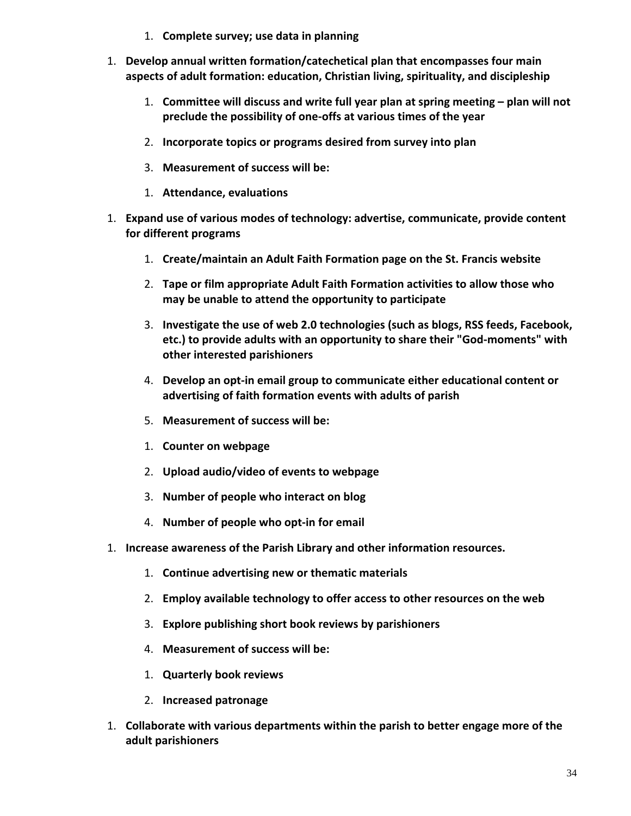- 1. **Complete survey; use data in planning**
- 1. **Develop annual written formation/catechetical plan that encompasses four main aspects of adult formation: education, Christian living, spirituality, and discipleship**
	- 1. **Committee will discuss and write full year plan at spring meeting – plan will not preclude the possibility of one‐offs at various times of the year**
	- 2. **Incorporate topics or programs desired from survey into plan**
	- 3. **Measurement of success will be:**
	- 1. **Attendance, evaluations**
- 1. **Expand use of various modes of technology: advertise, communicate, provide content for different programs**
	- 1. **Create/maintain an Adult Faith Formation page on the St. Francis website**
	- 2. **Tape or film appropriate Adult Faith Formation activities to allow those who may be unable to attend the opportunity to participate**
	- 3. **Investigate the use of web 2.0 technologies (such as blogs, RSS feeds, Facebook, etc.) to provide adults with an opportunity to share their "God‐moments" with other interested parishioners**
	- 4. **Develop an opt‐in email group to communicate either educational content or advertising of faith formation events with adults of parish**
	- 5. **Measurement of success will be:**
	- 1. **Counter on webpage**
	- 2. **Upload audio/video of events to webpage**
	- 3. **Number of people who interact on blog**
	- 4. **Number of people who opt‐in for email**
- 1. **Increase awareness of the Parish Library and other information resources.**
	- 1. **Continue advertising new or thematic materials**
	- 2. **Employ available technology to offer access to other resources on the web**
	- 3. **Explore publishing short book reviews by parishioners**
	- 4. **Measurement of success will be:**
	- 1. **Quarterly book reviews**
	- 2. **Increased patronage**
- 1. **Collaborate with various departments within the parish to better engage more of the adult parishioners**